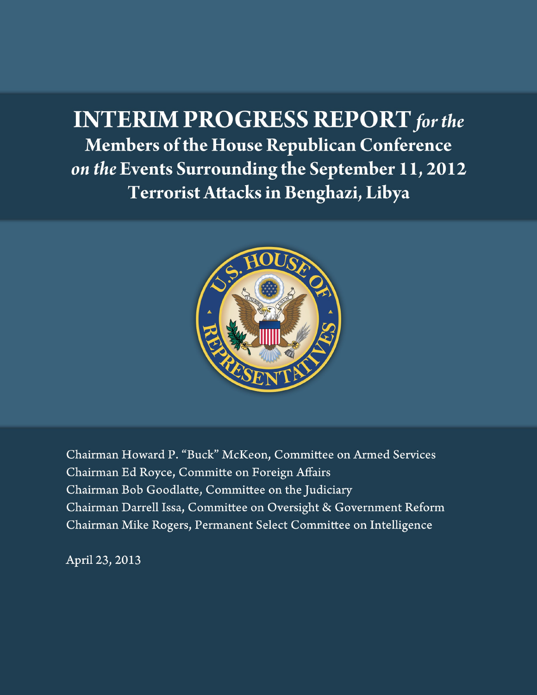# **INTERIM PROGRESS REPORT** for the Members of the House Republican Conference on the Events Surrounding the September 11, 2012 Terrorist Attacks in Benghazi, Libya



Chairman Howard P. "Buck" McKeon, Committee on Armed Services Chairman Ed Royce, Committe on Foreign Affairs Chairman Bob Goodlatte, Committee on the Judiciary Chairman Darrell Issa, Committee on Oversight & Government Reform Chairman Mike Rogers, Permanent Select Committee on Intelligence

April 23, 2013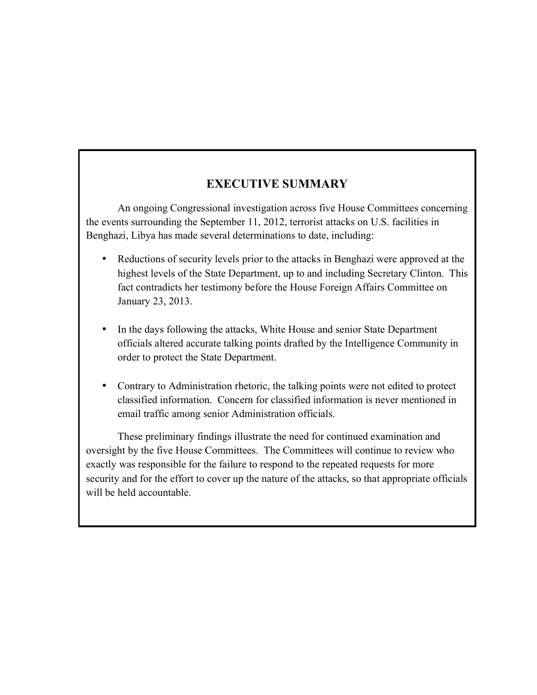# **EXECUTIVE SUMMARY**

An ongoing Congressional investigation across five House Committees concerning the events surrounding the September 11, 2012, terrorist attacks on U.S. facilities in Benghazi, Libya has made several determinations to date, including:

- Reductions of security levels prior to the attacks in Benghazi were approved at the highest levels of the State Department, up to and including Secretary Clinton. This fact contradicts her testimony before the House Foreign Affairs Committee on January 23, 2013.
- In the days following the attacks, White House and senior State Department officials altered accurate talking points drafted by the Intelligence Community in order to protect the State Department.
- Contrary to Administration rhetoric, the talking points were not edited to protect classified information. Concern for classified information is never mentioned in email traffic among senior Administration officials.

These preliminary findings illustrate the need for continued examination and oversight by the five House Committees. The Committees will continue to review who exactly was responsible for the failure to respond to the repeated requests for more security and for the effort to cover up the nature of the attacks, so that appropriate officials will be held accountable.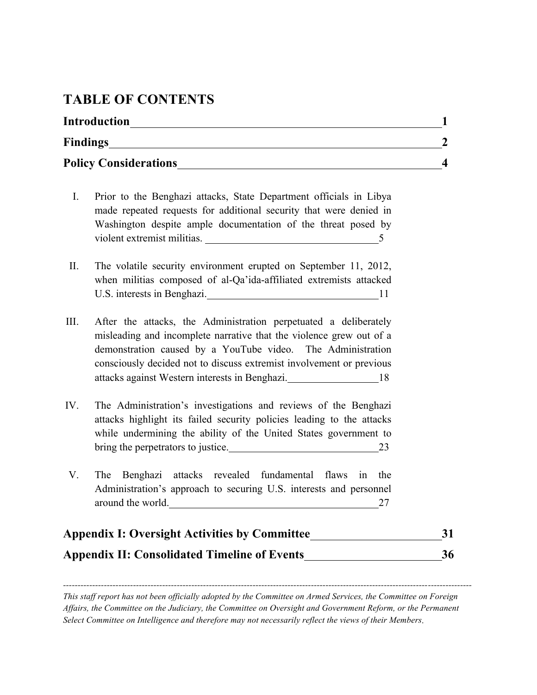# **TABLE OF CONTENTS**

| <b>Introduction</b>          |  |
|------------------------------|--|
| <b>Findings</b>              |  |
| <b>Policy Considerations</b> |  |

|             | <b>Appendix I: Oversight Activities by Committee</b>                                                                                                                                                                                                                                                                                | 31 |
|-------------|-------------------------------------------------------------------------------------------------------------------------------------------------------------------------------------------------------------------------------------------------------------------------------------------------------------------------------------|----|
| V.          | Benghazi attacks revealed fundamental flaws<br>The<br>the<br>in<br>Administration's approach to securing U.S. interests and personnel<br>around the world.<br>27                                                                                                                                                                    |    |
| IV.         | The Administration's investigations and reviews of the Benghazi<br>attacks highlight its failed security policies leading to the attacks<br>while undermining the ability of the United States government to<br>bring the perpetrators to justice.<br>23                                                                            |    |
| III.        | After the attacks, the Administration perpetuated a deliberately<br>misleading and incomplete narrative that the violence grew out of a<br>demonstration caused by a YouTube video. The Administration<br>consciously decided not to discuss extremist involvement or previous<br>attacks against Western interests in Benghazi. 18 |    |
| II.         | The volatile security environment erupted on September 11, 2012,<br>when militias composed of al-Qa'ida-affiliated extremists attacked                                                                                                                                                                                              |    |
| $I_{\cdot}$ | Prior to the Benghazi attacks, State Department officials in Libya<br>made repeated requests for additional security that were denied in<br>Washington despite ample documentation of the threat posed by<br>violent extremist militias. 5                                                                                          |    |
|             |                                                                                                                                                                                                                                                                                                                                     |    |

# **Appendix II: Consolidated Timeline of Events 36**

*This staff report has not been officially adopted by the Committee on Armed Services, the Committee on Foreign Affairs, the Committee on the Judiciary, the Committee on Oversight and Government Reform, or the Permanent Select Committee on Intelligence and therefore may not necessarily reflect the views of their Members.*

*--------------------------------------------------------------------------------------------------------------------------------------------*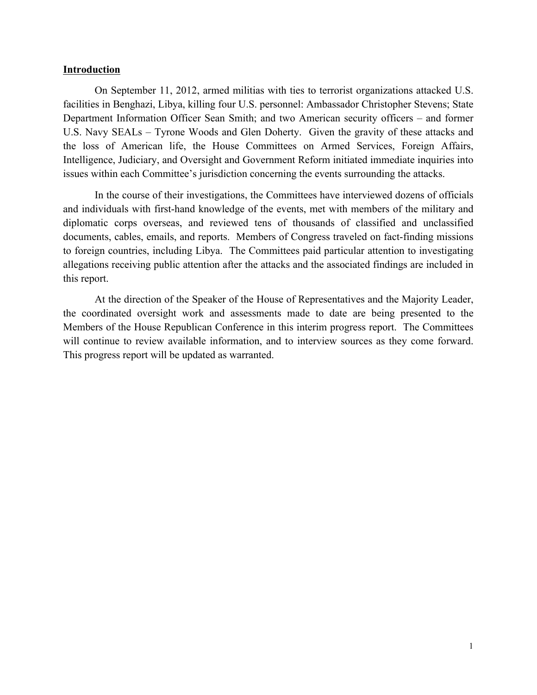#### **Introduction**

On September 11, 2012, armed militias with ties to terrorist organizations attacked U.S. facilities in Benghazi, Libya, killing four U.S. personnel: Ambassador Christopher Stevens; State Department Information Officer Sean Smith; and two American security officers – and former U.S. Navy SEALs – Tyrone Woods and Glen Doherty. Given the gravity of these attacks and the loss of American life, the House Committees on Armed Services, Foreign Affairs, Intelligence, Judiciary, and Oversight and Government Reform initiated immediate inquiries into issues within each Committee's jurisdiction concerning the events surrounding the attacks.

In the course of their investigations, the Committees have interviewed dozens of officials and individuals with first-hand knowledge of the events, met with members of the military and diplomatic corps overseas, and reviewed tens of thousands of classified and unclassified documents, cables, emails, and reports. Members of Congress traveled on fact-finding missions to foreign countries, including Libya. The Committees paid particular attention to investigating allegations receiving public attention after the attacks and the associated findings are included in this report.

At the direction of the Speaker of the House of Representatives and the Majority Leader, the coordinated oversight work and assessments made to date are being presented to the Members of the House Republican Conference in this interim progress report. The Committees will continue to review available information, and to interview sources as they come forward. This progress report will be updated as warranted.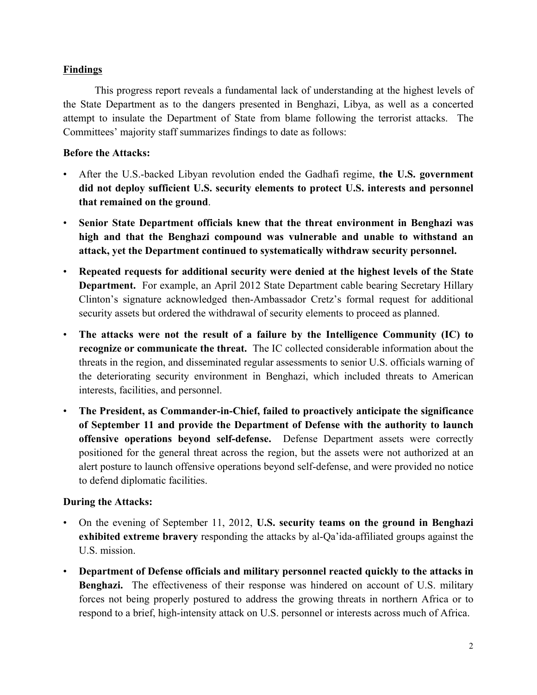# **Findings**

This progress report reveals a fundamental lack of understanding at the highest levels of the State Department as to the dangers presented in Benghazi, Libya, as well as a concerted attempt to insulate the Department of State from blame following the terrorist attacks. The Committees' majority staff summarizes findings to date as follows:

# **Before the Attacks:**

- O After the U.S.-backed Libyan revolution ended the Gadhafi regime, **the U.S. government did not deploy sufficient U.S. security elements to protect U.S. interests and personnel that remained on the ground**.
- O **Senior State Department officials knew that the threat environment in Benghazi was high and that the Benghazi compound was vulnerable and unable to withstand an attack, yet the Department continued to systematically withdraw security personnel.**
- O **Repeated requests for additional security were denied at the highest levels of the State Department.** For example, an April 2012 State Department cable bearing Secretary Hillary Clinton's signature acknowledged then-Ambassador Cretz's formal request for additional security assets but ordered the withdrawal of security elements to proceed as planned.
- The attacks were not the result of a failure by the Intelligence Community (IC) to **recognize or communicate the threat.** The IC collected considerable information about the threats in the region, and disseminated regular assessments to senior U.S. officials warning of the deteriorating security environment in Benghazi, which included threats to American interests, facilities, and personnel.
- O **The President, as Commander-in-Chief, failed to proactively anticipate the significance of September 11 and provide the Department of Defense with the authority to launch offensive operations beyond self-defense.** Defense Department assets were correctly positioned for the general threat across the region, but the assets were not authorized at an alert posture to launch offensive operations beyond self-defense, and were provided no notice to defend diplomatic facilities.

# **During the Attacks:**

- On the evening of September 11, 2012, U.S. security teams on the ground in Benghazi **exhibited extreme bravery** responding the attacks by al-Qa'ida-affiliated groups against the U.S. mission.
- Department of Defense officials and military personnel reacted quickly to the attacks in **Benghazi.** The effectiveness of their response was hindered on account of U.S. military forces not being properly postured to address the growing threats in northern Africa or to respond to a brief, high-intensity attack on U.S. personnel or interests across much of Africa.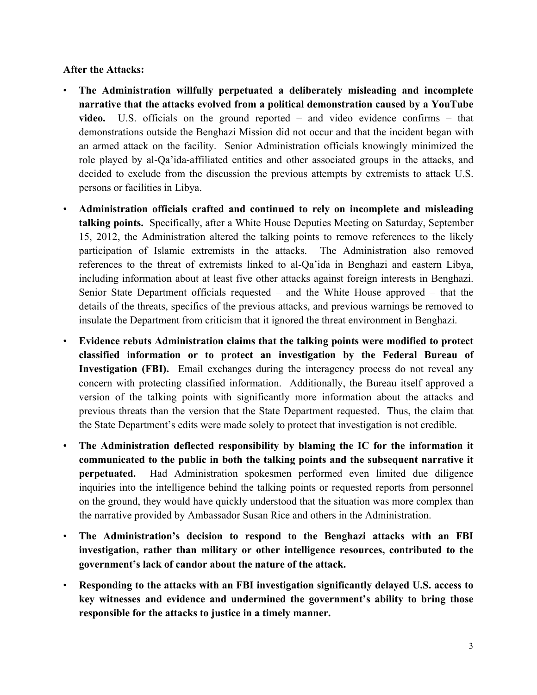# **After the Attacks:**

- O **The Administration willfully perpetuated a deliberately misleading and incomplete narrative that the attacks evolved from a political demonstration caused by a YouTube video.** U.S. officials on the ground reported – and video evidence confirms – that demonstrations outside the Benghazi Mission did not occur and that the incident began with an armed attack on the facility. Senior Administration officials knowingly minimized the role played by al-Qa'ida-affiliated entities and other associated groups in the attacks, and decided to exclude from the discussion the previous attempts by extremists to attack U.S. persons or facilities in Libya.
- O **Administration officials crafted and continued to rely on incomplete and misleading talking points.** Specifically, after a White House Deputies Meeting on Saturday, September 15, 2012, the Administration altered the talking points to remove references to the likely participation of Islamic extremists in the attacks. The Administration also removed references to the threat of extremists linked to al-Qa'ida in Benghazi and eastern Libya, including information about at least five other attacks against foreign interests in Benghazi. Senior State Department officials requested – and the White House approved – that the details of the threats, specifics of the previous attacks, and previous warnings be removed to insulate the Department from criticism that it ignored the threat environment in Benghazi.
- Evidence rebuts Administration claims that the talking points were modified to protect **classified information or to protect an investigation by the Federal Bureau of Investigation (FBI).** Email exchanges during the interagency process do not reveal any concern with protecting classified information. Additionally, the Bureau itself approved a version of the talking points with significantly more information about the attacks and previous threats than the version that the State Department requested. Thus, the claim that the State Department's edits were made solely to protect that investigation is not credible.
- The Administration deflected responsibility by blaming the IC for the information it **communicated to the public in both the talking points and the subsequent narrative it perpetuated.** Had Administration spokesmen performed even limited due diligence inquiries into the intelligence behind the talking points or requested reports from personnel on the ground, they would have quickly understood that the situation was more complex than the narrative provided by Ambassador Susan Rice and others in the Administration.
- O **The Administration's decision to respond to the Benghazi attacks with an FBI investigation, rather than military or other intelligence resources, contributed to the government's lack of candor about the nature of the attack.**
- O **Responding to the attacks with an FBI investigation significantly delayed U.S. access to key witnesses and evidence and undermined the government's ability to bring those responsible for the attacks to justice in a timely manner.**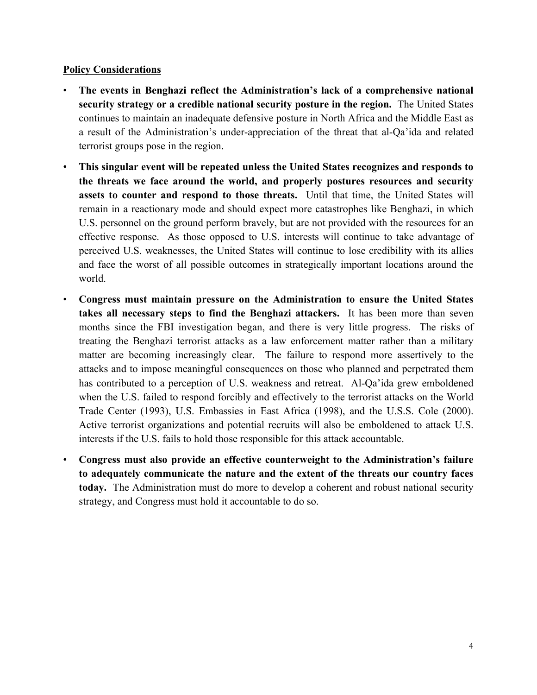## **Policy Considerations**

- The events in Benghazi reflect the Administration's lack of a comprehensive national **security strategy or a credible national security posture in the region.** The United States continues to maintain an inadequate defensive posture in North Africa and the Middle East as a result of the Administration's under-appreciation of the threat that al-Qa'ida and related terrorist groups pose in the region.
- O **This singular event will be repeated unless the United States recognizes and responds to the threats we face around the world, and properly postures resources and security assets to counter and respond to those threats.** Until that time, the United States will remain in a reactionary mode and should expect more catastrophes like Benghazi, in which U.S. personnel on the ground perform bravely, but are not provided with the resources for an effective response. As those opposed to U.S. interests will continue to take advantage of perceived U.S. weaknesses, the United States will continue to lose credibility with its allies and face the worst of all possible outcomes in strategically important locations around the world.
- O **Congress must maintain pressure on the Administration to ensure the United States takes all necessary steps to find the Benghazi attackers.** It has been more than seven months since the FBI investigation began, and there is very little progress. The risks of treating the Benghazi terrorist attacks as a law enforcement matter rather than a military matter are becoming increasingly clear. The failure to respond more assertively to the attacks and to impose meaningful consequences on those who planned and perpetrated them has contributed to a perception of U.S. weakness and retreat. Al-Qa'ida grew emboldened when the U.S. failed to respond forcibly and effectively to the terrorist attacks on the World Trade Center (1993), U.S. Embassies in East Africa (1998), and the U.S.S. Cole (2000). Active terrorist organizations and potential recruits will also be emboldened to attack U.S. interests if the U.S. fails to hold those responsible for this attack accountable.
- O **Congress must also provide an effective counterweight to the Administration's failure to adequately communicate the nature and the extent of the threats our country faces today.** The Administration must do more to develop a coherent and robust national security strategy, and Congress must hold it accountable to do so.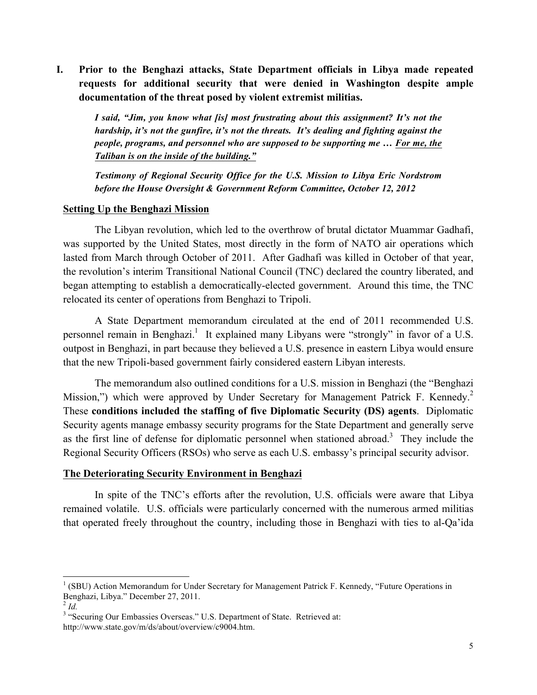**I. Prior to the Benghazi attacks, State Department officials in Libya made repeated requests for additional security that were denied in Washington despite ample documentation of the threat posed by violent extremist militias.** 

*I said, "Jim, you know what [is] most frustrating about this assignment? It's not the hardship, it's not the gunfire, it's not the threats. It's dealing and fighting against the people, programs, and personnel who are supposed to be supporting me … For me, the Taliban is on the inside of the building."*

*Testimony of Regional Security Office for the U.S. Mission to Libya Eric Nordstrom before the House Oversight & Government Reform Committee, October 12, 2012* 

#### **Setting Up the Benghazi Mission**

The Libyan revolution, which led to the overthrow of brutal dictator Muammar Gadhafi, was supported by the United States, most directly in the form of NATO air operations which lasted from March through October of 2011. After Gadhafi was killed in October of that year, the revolution's interim Transitional National Council (TNC) declared the country liberated, and began attempting to establish a democratically-elected government. Around this time, the TNC relocated its center of operations from Benghazi to Tripoli.

A State Department memorandum circulated at the end of 2011 recommended U.S. personnel remain in Benghazi.<sup>1</sup> It explained many Libyans were "strongly" in favor of a U.S. outpost in Benghazi, in part because they believed a U.S. presence in eastern Libya would ensure that the new Tripoli-based government fairly considered eastern Libyan interests.

The memorandum also outlined conditions for a U.S. mission in Benghazi (the "Benghazi Mission,") which were approved by Under Secretary for Management Patrick F. Kennedy.<sup>2</sup> These **conditions included the staffing of five Diplomatic Security (DS) agents**. Diplomatic Security agents manage embassy security programs for the State Department and generally serve as the first line of defense for diplomatic personnel when stationed abroad.<sup>3</sup> They include the Regional Security Officers (RSOs) who serve as each U.S. embassy's principal security advisor.

#### **The Deteriorating Security Environment in Benghazi**

In spite of the TNC's efforts after the revolution, U.S. officials were aware that Libya remained volatile. U.S. officials were particularly concerned with the numerous armed militias that operated freely throughout the country, including those in Benghazi with ties to al-Qa'ida

 $<sup>1</sup>$  (SBU) Action Memorandum for Under Secretary for Management Patrick F. Kennedy, "Future Operations in</sup> Benghazi, Libya." December 27, 2011.

<sup>2</sup> *Id.*

<sup>&</sup>lt;sup>3</sup> "Securing Our Embassies Overseas." U.S. Department of State. Retrieved at: http://www.state.gov/m/ds/about/overview/c9004.htm.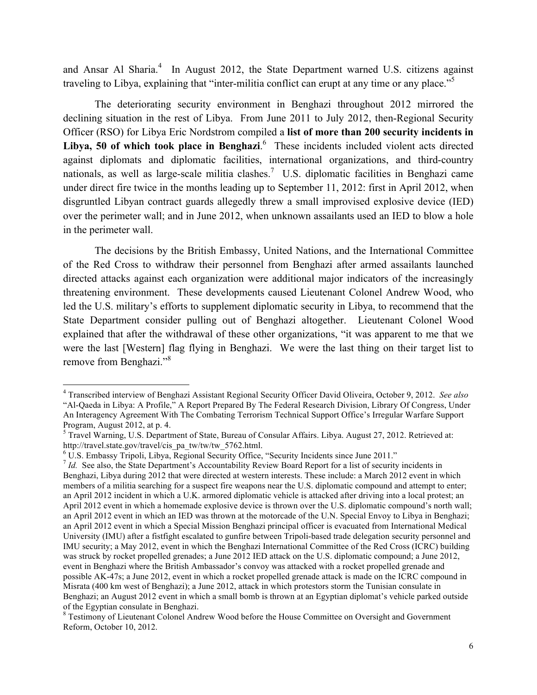and Ansar Al Sharia.<sup>4</sup> In August 2012, the State Department warned U.S. citizens against traveling to Libya, explaining that "inter-militia conflict can erupt at any time or any place."<sup>5</sup>

The deteriorating security environment in Benghazi throughout 2012 mirrored the declining situation in the rest of Libya. From June 2011 to July 2012, then-Regional Security Officer (RSO) for Libya Eric Nordstrom compiled a **list of more than 200 security incidents in**  Libya, 50 of which took place in Benghazi.<sup>6</sup> These incidents included violent acts directed against diplomats and diplomatic facilities, international organizations, and third-country nationals, as well as large-scale militia clashes.<sup>7</sup> U.S. diplomatic facilities in Benghazi came under direct fire twice in the months leading up to September 11, 2012: first in April 2012, when disgruntled Libyan contract guards allegedly threw a small improvised explosive device (IED) over the perimeter wall; and in June 2012, when unknown assailants used an IED to blow a hole in the perimeter wall.

The decisions by the British Embassy, United Nations, and the International Committee of the Red Cross to withdraw their personnel from Benghazi after armed assailants launched directed attacks against each organization were additional major indicators of the increasingly threatening environment. These developments caused Lieutenant Colonel Andrew Wood, who led the U.S. military's efforts to supplement diplomatic security in Libya, to recommend that the State Department consider pulling out of Benghazi altogether. Lieutenant Colonel Wood explained that after the withdrawal of these other organizations, "it was apparent to me that we were the last [Western] flag flying in Benghazi. We were the last thing on their target list to remove from Benghazi."<sup>8</sup>

<sup>4</sup> Transcribed interview of Benghazi Assistant Regional Security Officer David Oliveira, October 9, 2012. *See also* "Al-Qaeda in Libya: A Profile," A Report Prepared By The Federal Research Division, Library Of Congress, Under An Interagency Agreement With The Combating Terrorism Technical Support Office's Irregular Warfare Support Program, August 2012, at p. 4.

<sup>5</sup> Travel Warning, U.S. Department of State, Bureau of Consular Affairs. Libya. August 27, 2012. Retrieved at: http://travel.state.gov/travel/cis\_pa\_tw/tw/tw\_5762.html.<br><sup>6</sup> U.S. Embassy Tripoli, Libya, Regional Security Office, "Security Incidents since June 2011."

<sup>&</sup>lt;sup>7</sup> *Id.* See also, the State Department's Accountability Review Board Report for a list of security incidents in Benghazi, Libya during 2012 that were directed at western interests. These include: a March 2012 event in which members of a militia searching for a suspect fire weapons near the U.S. diplomatic compound and attempt to enter; an April 2012 incident in which a U.K. armored diplomatic vehicle is attacked after driving into a local protest; an April 2012 event in which a homemade explosive device is thrown over the U.S. diplomatic compound's north wall; an April 2012 event in which an IED was thrown at the motorcade of the U.N. Special Envoy to Libya in Benghazi; an April 2012 event in which a Special Mission Benghazi principal officer is evacuated from International Medical University (IMU) after a fistfight escalated to gunfire between Tripoli-based trade delegation security personnel and IMU security; a May 2012, event in which the Benghazi International Committee of the Red Cross (ICRC) building was struck by rocket propelled grenades; a June 2012 IED attack on the U.S. diplomatic compound; a June 2012, event in Benghazi where the British Ambassador's convoy was attacked with a rocket propelled grenade and possible AK-47s; a June 2012, event in which a rocket propelled grenade attack is made on the ICRC compound in Misrata (400 km west of Benghazi); a June 2012, attack in which protestors storm the Tunisian consulate in Benghazi; an August 2012 event in which a small bomb is thrown at an Egyptian diplomat's vehicle parked outside of the Egyptian consulate in Benghazi.

<sup>&</sup>lt;sup>8</sup> Testimony of Lieutenant Colonel Andrew Wood before the House Committee on Oversight and Government Reform, October 10, 2012.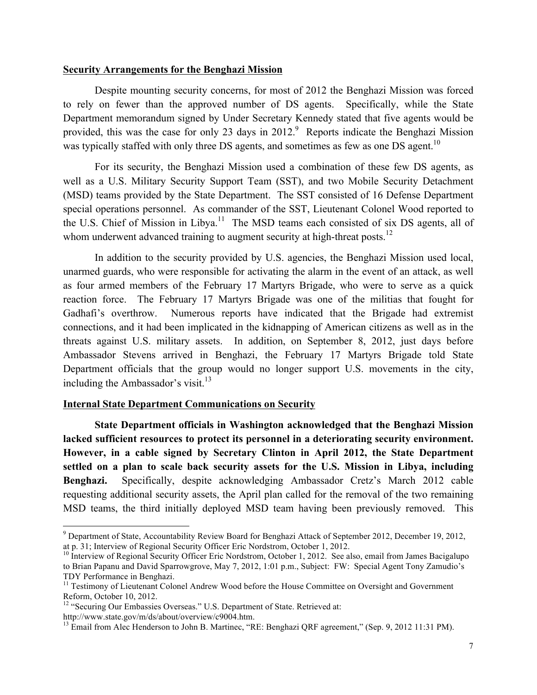#### **Security Arrangements for the Benghazi Mission**

Despite mounting security concerns, for most of 2012 the Benghazi Mission was forced to rely on fewer than the approved number of DS agents. Specifically, while the State Department memorandum signed by Under Secretary Kennedy stated that five agents would be provided, this was the case for only 23 days in  $2012$ .<sup>9</sup> Reports indicate the Benghazi Mission was typically staffed with only three DS agents, and sometimes as few as one DS agent.<sup>10</sup>

For its security, the Benghazi Mission used a combination of these few DS agents, as well as a U.S. Military Security Support Team (SST), and two Mobile Security Detachment (MSD) teams provided by the State Department. The SST consisted of 16 Defense Department special operations personnel. As commander of the SST, Lieutenant Colonel Wood reported to the U.S. Chief of Mission in Libya.<sup>11</sup> The MSD teams each consisted of six DS agents, all of whom underwent advanced training to augment security at high-threat posts.<sup>12</sup>

In addition to the security provided by U.S. agencies, the Benghazi Mission used local, unarmed guards, who were responsible for activating the alarm in the event of an attack, as well as four armed members of the February 17 Martyrs Brigade, who were to serve as a quick reaction force. The February 17 Martyrs Brigade was one of the militias that fought for Gadhafi's overthrow. Numerous reports have indicated that the Brigade had extremist connections, and it had been implicated in the kidnapping of American citizens as well as in the threats against U.S. military assets. In addition, on September 8, 2012, just days before Ambassador Stevens arrived in Benghazi, the February 17 Martyrs Brigade told State Department officials that the group would no longer support U.S. movements in the city, including the Ambassador's visit. $^{13}$ 

#### **Internal State Department Communications on Security**

**State Department officials in Washington acknowledged that the Benghazi Mission lacked sufficient resources to protect its personnel in a deteriorating security environment. However, in a cable signed by Secretary Clinton in April 2012, the State Department settled on a plan to scale back security assets for the U.S. Mission in Libya, including Benghazi.** Specifically, despite acknowledging Ambassador Cretz's March 2012 cable requesting additional security assets, the April plan called for the removal of the two remaining MSD teams, the third initially deployed MSD team having been previously removed. This

<sup>&</sup>lt;sup>9</sup> Department of State, Accountability Review Board for Benghazi Attack of September 2012, December 19, 2012, at p. 31; Interview of Regional Security Officer Eric Nordstrom, October 1, 2012.

 $10$  Interview of Regional Security Officer Eric Nordstrom, October 1, 2012. See also, email from James Bacigalupo to Brian Papanu and David Sparrowgrove, May 7, 2012, 1:01 p.m., Subject: FW: Special Agent Tony Zamudio's TDY Performance in Benghazi.

<sup>&</sup>lt;sup>11</sup> Testimony of Lieutenant Colonel Andrew Wood before the House Committee on Oversight and Government Reform, October 10, 2012.

<sup>&</sup>lt;sup>12</sup> "Securing Our Embassies Overseas." U.S. Department of State. Retrieved at: http://www.state.gov/m/ds/about/overview/c9004.htm.

<sup>&</sup>lt;sup>13</sup> Email from Alec Henderson to John B. Martinec, "RE: Benghazi QRF agreement," (Sep. 9, 2012 11:31 PM).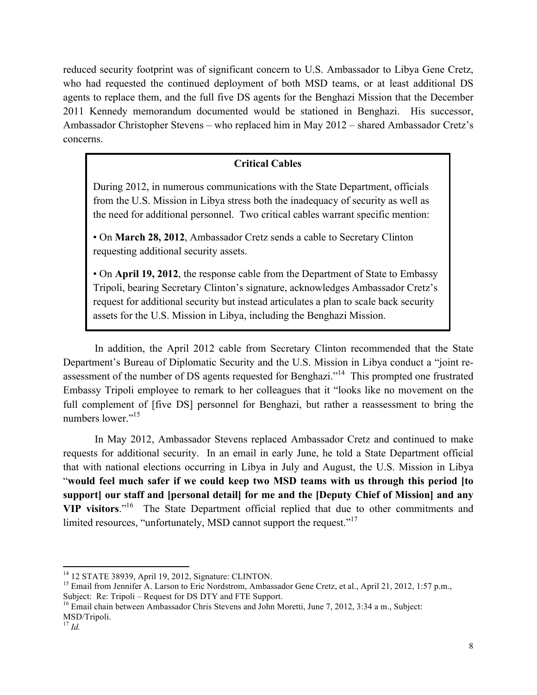reduced security footprint was of significant concern to U.S. Ambassador to Libya Gene Cretz, who had requested the continued deployment of both MSD teams, or at least additional DS agents to replace them, and the full five DS agents for the Benghazi Mission that the December 2011 Kennedy memorandum documented would be stationed in Benghazi. His successor, Ambassador Christopher Stevens – who replaced him in May 2012 – shared Ambassador Cretz's concerns.

# **Critical Cables**

During 2012, in numerous communications with the State Department, officials from the U.S. Mission in Libya stress both the inadequacy of security as well as the need for additional personnel. Two critical cables warrant specific mention:

• On March 28, 2012, Ambassador Cretz sends a cable to Secretary Clinton requesting additional security assets.

• On April 19, 2012, the response cable from the Department of State to Embassy Tripoli, bearing Secretary Clinton's signature, acknowledges Ambassador Cretz's request for additional security but instead articulates a plan to scale back security assets for the U.S. Mission in Libya, including the Benghazi Mission.

In addition, the April 2012 cable from Secretary Clinton recommended that the State Department's Bureau of Diplomatic Security and the U.S. Mission in Libya conduct a "joint reassessment of the number of DS agents requested for Benghazi."<sup>14</sup> This prompted one frustrated Embassy Tripoli employee to remark to her colleagues that it "looks like no movement on the full complement of [five DS] personnel for Benghazi, but rather a reassessment to bring the numbers lower."<sup>15</sup>

In May 2012, Ambassador Stevens replaced Ambassador Cretz and continued to make requests for additional security. In an email in early June, he told a State Department official that with national elections occurring in Libya in July and August, the U.S. Mission in Libya "**would feel much safer if we could keep two MSD teams with us through this period [to support] our staff and [personal detail] for me and the [Deputy Chief of Mission] and any VIP visitors**."16 The State Department official replied that due to other commitments and limited resources, "unfortunately, MSD cannot support the request."<sup>17</sup>

 $^{16}$  Email chain between Ambassador Chris Stevens and John Moretti, June 7, 2012, 3:34 a m., Subject: MSD/Tripoli.

<sup>&</sup>lt;sup>14</sup> 12 STATE 38939, April 19, 2012, Signature: CLINTON.<br><sup>15</sup> Email from Jennifer A. Larson to Eric Nordstrom, Ambassador Gene Cretz, et al., April 21, 2012, 1:57 p.m., Subject: Re: Tripoli – Request for DS DTY and FTE Su

 $^{17}$  *Id.*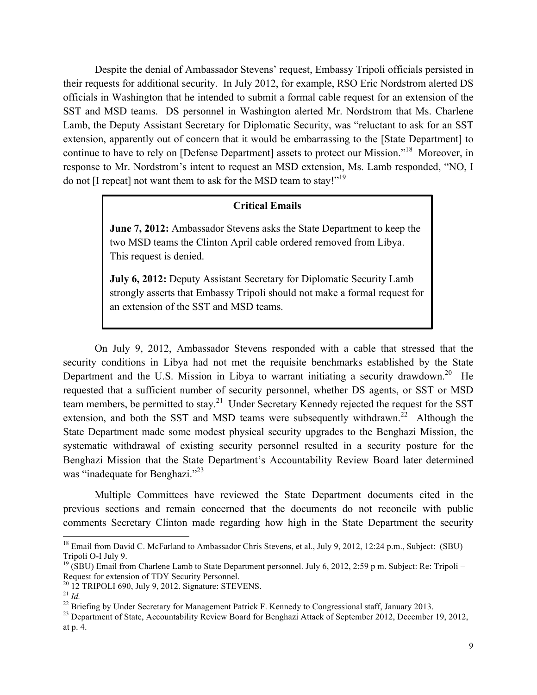Despite the denial of Ambassador Stevens' request, Embassy Tripoli officials persisted in their requests for additional security. In July 2012, for example, RSO Eric Nordstrom alerted DS officials in Washington that he intended to submit a formal cable request for an extension of the SST and MSD teams. DS personnel in Washington alerted Mr. Nordstrom that Ms. Charlene Lamb, the Deputy Assistant Secretary for Diplomatic Security, was "reluctant to ask for an SST extension, apparently out of concern that it would be embarrassing to the [State Department] to continue to have to rely on [Defense Department] assets to protect our Mission."18 Moreover, in response to Mr. Nordstrom's intent to request an MSD extension, Ms. Lamb responded, "NO, I do not [I repeat] not want them to ask for the MSD team to stay!"<sup>19</sup>

#### **Critical Emails**

**June 7, 2012:** Ambassador Stevens asks the State Department to keep the two MSD teams the Clinton April cable ordered removed from Libya. This request is denied.

**July 6, 2012:** Deputy Assistant Secretary for Diplomatic Security Lamb strongly asserts that Embassy Tripoli should not make a formal request for an extension of the SST and MSD teams.

On July 9, 2012, Ambassador Stevens responded with a cable that stressed that the security conditions in Libya had not met the requisite benchmarks established by the State Department and the U.S. Mission in Libya to warrant initiating a security drawdown.<sup>20</sup> He requested that a sufficient number of security personnel, whether DS agents, or SST or MSD team members, be permitted to stay.<sup>21</sup> Under Secretary Kennedy rejected the request for the SST extension, and both the SST and MSD teams were subsequently withdrawn.<sup>22</sup> Although the State Department made some modest physical security upgrades to the Benghazi Mission, the systematic withdrawal of existing security personnel resulted in a security posture for the Benghazi Mission that the State Department's Accountability Review Board later determined was "inadequate for Benghazi."<sup>23</sup>

Multiple Committees have reviewed the State Department documents cited in the previous sections and remain concerned that the documents do not reconcile with public comments Secretary Clinton made regarding how high in the State Department the security

<sup>&</sup>lt;sup>18</sup> Email from David C. McFarland to Ambassador Chris Stevens, et al., July 9, 2012, 12:24 p.m., Subject: (SBU)

Tripoli O-I July 9.<br><sup>19</sup> (SBU) Email from Charlene Lamb to State Department personnel. July 6, 2012, 2:59 p m. Subject: Re: Tripoli –<br>Request for extension of TDY Security Personnel.

<sup>&</sup>lt;sup>20</sup> 12 TRIPOLI 690, July 9, 2012. Signature: STEVENS.<br>
<sup>21</sup> *Id.*<br>
<sup>22</sup> Briefing by Under Secretary for Management Patrick F. Kennedy to Congressional staff, January 2013.<br>
<sup>23</sup> Department of State. Accountability Review

at p. 4.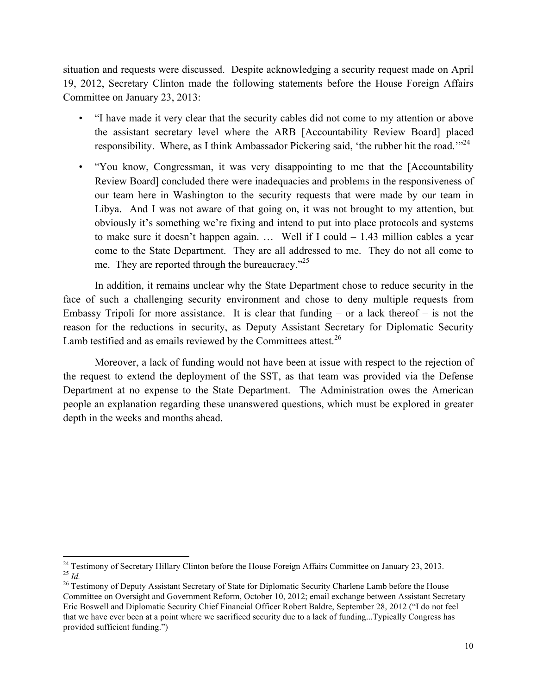situation and requests were discussed. Despite acknowledging a security request made on April 19, 2012, Secretary Clinton made the following statements before the House Foreign Affairs Committee on January 23, 2013:

- "I have made it very clear that the security cables did not come to my attention or above the assistant secretary level where the ARB [Accountability Review Board] placed responsibility. Where, as I think Ambassador Pickering said, 'the rubber hit the road.'"<sup>24</sup>
- "You know, Congressman, it was very disappointing to me that the [Accountability Review Board] concluded there were inadequacies and problems in the responsiveness of our team here in Washington to the security requests that were made by our team in Libya. And I was not aware of that going on, it was not brought to my attention, but obviously it's something we're fixing and intend to put into place protocols and systems to make sure it doesn't happen again. … Well if I could – 1.43 million cables a year come to the State Department. They are all addressed to me. They do not all come to me. They are reported through the bureaucracy."<sup>25</sup>

In addition, it remains unclear why the State Department chose to reduce security in the face of such a challenging security environment and chose to deny multiple requests from Embassy Tripoli for more assistance. It is clear that funding  $-$  or a lack thereof  $-$  is not the reason for the reductions in security, as Deputy Assistant Secretary for Diplomatic Security Lamb testified and as emails reviewed by the Committees attest.<sup>26</sup>

Moreover, a lack of funding would not have been at issue with respect to the rejection of the request to extend the deployment of the SST, as that team was provided via the Defense Department at no expense to the State Department. The Administration owes the American people an explanation regarding these unanswered questions, which must be explored in greater depth in the weeks and months ahead.

<sup>&</sup>lt;sup>24</sup> Testimony of Secretary Hillary Clinton before the House Foreign Affairs Committee on January 23, 2013.<br><sup>25</sup> *Id.*<br><sup>26</sup> Testimony of Deputy Assistant Secretary of State for Diplomatic Security Charlene Lamb before the

Committee on Oversight and Government Reform, October 10, 2012; email exchange between Assistant Secretary Eric Boswell and Diplomatic Security Chief Financial Officer Robert Baldre, September 28, 2012 ("I do not feel that we have ever been at a point where we sacrificed security due to a lack of funding...Typically Congress has provided sufficient funding.")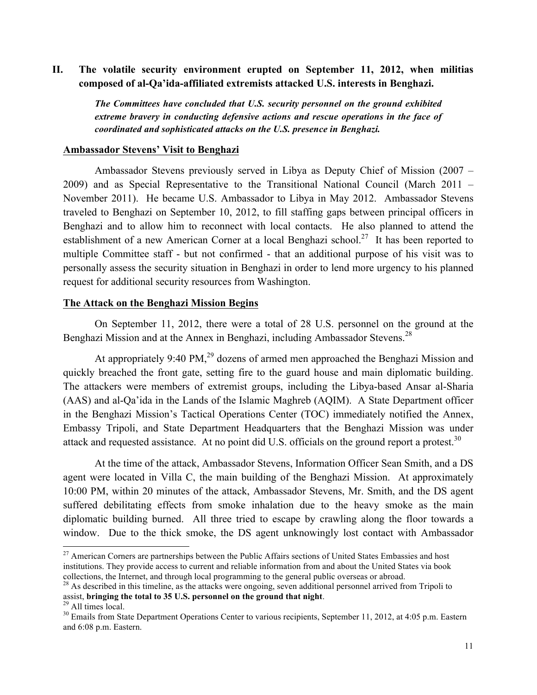**II. The volatile security environment erupted on September 11, 2012, when militias composed of al-Qa'ida-affiliated extremists attacked U.S. interests in Benghazi.** 

> *The Committees have concluded that U.S. security personnel on the ground exhibited extreme bravery in conducting defensive actions and rescue operations in the face of coordinated and sophisticated attacks on the U.S. presence in Benghazi.*

#### **Ambassador Stevens' Visit to Benghazi**

Ambassador Stevens previously served in Libya as Deputy Chief of Mission (2007 – 2009) and as Special Representative to the Transitional National Council (March 2011 – November 2011). He became U.S. Ambassador to Libya in May 2012. Ambassador Stevens traveled to Benghazi on September 10, 2012, to fill staffing gaps between principal officers in Benghazi and to allow him to reconnect with local contacts. He also planned to attend the establishment of a new American Corner at a local Benghazi school.<sup>27</sup> It has been reported to multiple Committee staff - but not confirmed - that an additional purpose of his visit was to personally assess the security situation in Benghazi in order to lend more urgency to his planned request for additional security resources from Washington.

#### **The Attack on the Benghazi Mission Begins**

On September 11, 2012, there were a total of 28 U.S. personnel on the ground at the Benghazi Mission and at the Annex in Benghazi, including Ambassador Stevens.<sup>28</sup>

At appropriately 9:40 PM, $^{29}$  dozens of armed men approached the Benghazi Mission and quickly breached the front gate, setting fire to the guard house and main diplomatic building. The attackers were members of extremist groups, including the Libya-based Ansar al-Sharia (AAS) and al-Qa'ida in the Lands of the Islamic Maghreb (AQIM). A State Department officer in the Benghazi Mission's Tactical Operations Center (TOC) immediately notified the Annex, Embassy Tripoli, and State Department Headquarters that the Benghazi Mission was under attack and requested assistance. At no point did U.S. officials on the ground report a protest.<sup>30</sup>

At the time of the attack, Ambassador Stevens, Information Officer Sean Smith, and a DS agent were located in Villa C, the main building of the Benghazi Mission. At approximately 10:00 PM, within 20 minutes of the attack, Ambassador Stevens, Mr. Smith, and the DS agent suffered debilitating effects from smoke inhalation due to the heavy smoke as the main diplomatic building burned. All three tried to escape by crawling along the floor towards a window. Due to the thick smoke, the DS agent unknowingly lost contact with Ambassador

<sup>&</sup>lt;sup>27</sup> American Corners are partnerships between the Public Affairs sections of United States Embassies and host institutions. They provide access to current and reliable information from and about the United States via book collections, the Internet, and through local programming to the general public overseas or abroad.<br><sup>28</sup> As described in this timeline, as the attacks were ongoing, seven additional personnel arrived from Tripoli to

assist, **bringing the total to 35 U.S. personnel on the ground that night**.<br><sup>29</sup> All times local.<br><sup>30</sup> Emails from State Department Operations Center to various recipients, September 11, 2012, at 4:05 p.m. Eastern

and 6:08 p.m. Eastern.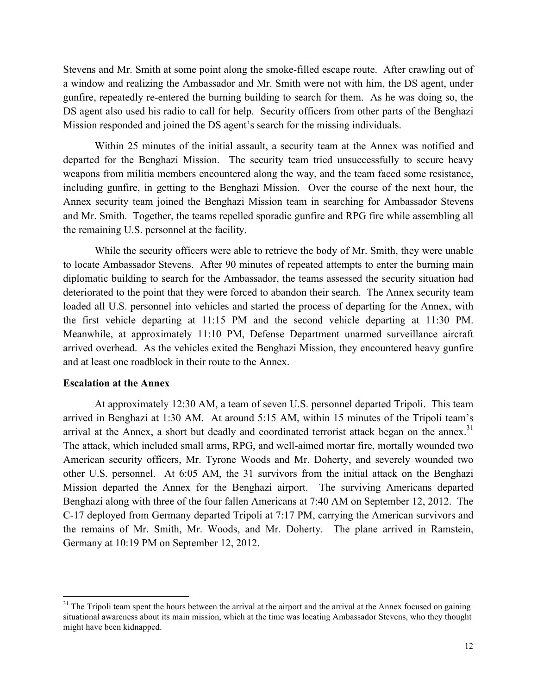Stevens and Mr. Smith at some point along the smoke-filled escape route. After crawling out of a window and realizing the Ambassador and Mr. Smith were not with him, the DS agent, under gunfire, repeatedly re-entered the burning building to search for them. As he was doing so, the DS agent also used his radio to call for help. Security officers from other parts of the Benghazi Mission responded and joined the DS agent's search for the missing individuals.

 Within 25 minutes of the initial assault, a security team at the Annex was notified and departed for the Benghazi Mission. The security team tried unsuccessfully to secure heavy weapons from militia members encountered along the way, and the team faced some resistance, including gunfire, in getting to the Benghazi Mission. Over the course of the next hour, the Annex security team joined the Benghazi Mission team in searching for Ambassador Stevens and Mr. Smith. Together, the teams repelled sporadic gunfire and RPG fire while assembling all the remaining U.S. personnel at the facility.

While the security officers were able to retrieve the body of Mr. Smith, they were unable to locate Ambassador Stevens. After 90 minutes of repeated attempts to enter the burning main diplomatic building to search for the Ambassador, the teams assessed the security situation had deteriorated to the point that they were forced to abandon their search. The Annex security team loaded all U.S. personnel into vehicles and started the process of departing for the Annex, with the first vehicle departing at 11:15 PM and the second vehicle departing at 11:30 PM. Meanwhile, at approximately 11:10 PM, Defense Department unarmed surveillance aircraft arrived overhead. As the vehicles exited the Benghazi Mission, they encountered heavy gunfire and at least one roadblock in their route to the Annex.

#### **Escalation at the Annex**

 At approximately 12:30 AM, a team of seven U.S. personnel departed Tripoli. This team arrived in Benghazi at 1:30 AM. At around 5:15 AM, within 15 minutes of the Tripoli team's arrival at the Annex, a short but deadly and coordinated terrorist attack began on the annex.<sup>31</sup> The attack, which included small arms, RPG, and well-aimed mortar fire, mortally wounded two American security officers, Mr. Tyrone Woods and Mr. Doherty, and severely wounded two other U.S. personnel. At 6:05 AM, the 31 survivors from the initial attack on the Benghazi Mission departed the Annex for the Benghazi airport. The surviving Americans departed Benghazi along with three of the four fallen Americans at 7:40 AM on September 12, 2012. The C-17 deployed from Germany departed Tripoli at 7:17 PM, carrying the American survivors and the remains of Mr. Smith, Mr. Woods, and Mr. Doherty. The plane arrived in Ramstein, Germany at 10:19 PM on September 12, 2012.

 $31$  The Tripoli team spent the hours between the arrival at the airport and the arrival at the Annex focused on gaining situational awareness about its main mission, which at the time was locating Ambassador Stevens, who they thought might have been kidnapped.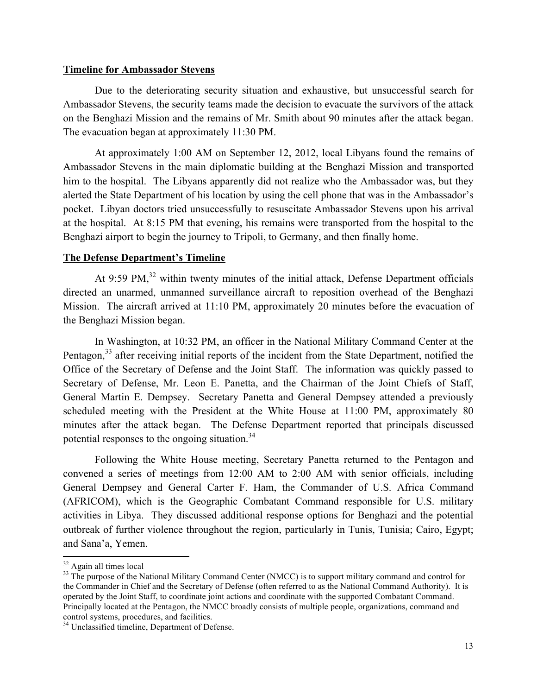#### **Timeline for Ambassador Stevens**

Due to the deteriorating security situation and exhaustive, but unsuccessful search for Ambassador Stevens, the security teams made the decision to evacuate the survivors of the attack on the Benghazi Mission and the remains of Mr. Smith about 90 minutes after the attack began. The evacuation began at approximately 11:30 PM.

 At approximately 1:00 AM on September 12, 2012, local Libyans found the remains of Ambassador Stevens in the main diplomatic building at the Benghazi Mission and transported him to the hospital. The Libyans apparently did not realize who the Ambassador was, but they alerted the State Department of his location by using the cell phone that was in the Ambassador's pocket. Libyan doctors tried unsuccessfully to resuscitate Ambassador Stevens upon his arrival at the hospital. At 8:15 PM that evening, his remains were transported from the hospital to the Benghazi airport to begin the journey to Tripoli, to Germany, and then finally home.

#### **The Defense Department's Timeline**

At 9:59 PM, $^{32}$  within twenty minutes of the initial attack, Defense Department officials directed an unarmed, unmanned surveillance aircraft to reposition overhead of the Benghazi Mission. The aircraft arrived at 11:10 PM, approximately 20 minutes before the evacuation of the Benghazi Mission began.

In Washington, at 10:32 PM, an officer in the National Military Command Center at the Pentagon,<sup>33</sup> after receiving initial reports of the incident from the State Department, notified the Office of the Secretary of Defense and the Joint Staff. The information was quickly passed to Secretary of Defense, Mr. Leon E. Panetta, and the Chairman of the Joint Chiefs of Staff, General Martin E. Dempsey. Secretary Panetta and General Dempsey attended a previously scheduled meeting with the President at the White House at 11:00 PM, approximately 80 minutes after the attack began. The Defense Department reported that principals discussed potential responses to the ongoing situation.<sup>34</sup>

 Following the White House meeting, Secretary Panetta returned to the Pentagon and convened a series of meetings from 12:00 AM to 2:00 AM with senior officials, including General Dempsey and General Carter F. Ham, the Commander of U.S. Africa Command (AFRICOM), which is the Geographic Combatant Command responsible for U.S. military activities in Libya. They discussed additional response options for Benghazi and the potential outbreak of further violence throughout the region, particularly in Tunis, Tunisia; Cairo, Egypt; and Sana'a, Yemen.

 $32$  Again all times local<br> $33$  The purpose of the National Military Command Center (NMCC) is to support military command and control for the Commander in Chief and the Secretary of Defense (often referred to as the National Command Authority). It is operated by the Joint Staff, to coordinate joint actions and coordinate with the supported Combatant Command. Principally located at the Pentagon, the NMCC broadly consists of multiple people, organizations, command and control systems, procedures, and facilities.

<sup>&</sup>lt;sup>34</sup> Unclassified timeline, Department of Defense.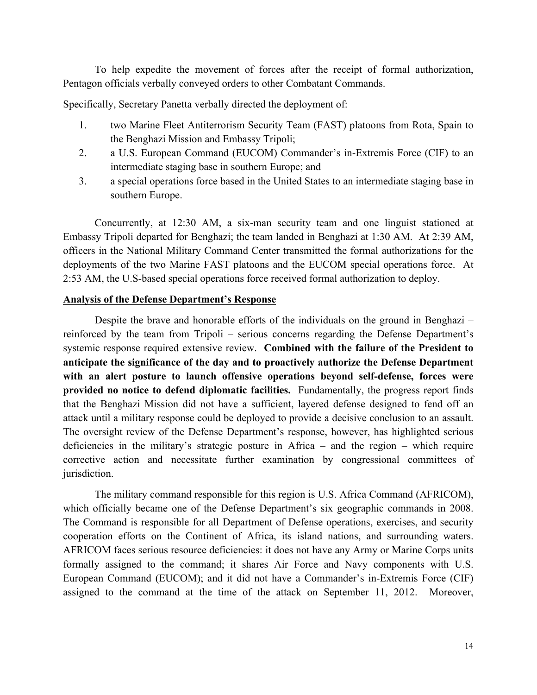To help expedite the movement of forces after the receipt of formal authorization, Pentagon officials verbally conveyed orders to other Combatant Commands.

Specifically, Secretary Panetta verbally directed the deployment of:

- 1. two Marine Fleet Antiterrorism Security Team (FAST) platoons from Rota, Spain to the Benghazi Mission and Embassy Tripoli;
- 2. a U.S. European Command (EUCOM) Commander's in-Extremis Force (CIF) to an intermediate staging base in southern Europe; and
- 3. a special operations force based in the United States to an intermediate staging base in southern Europe.

 Concurrently, at 12:30 AM, a six-man security team and one linguist stationed at Embassy Tripoli departed for Benghazi; the team landed in Benghazi at 1:30 AM. At 2:39 AM, officers in the National Military Command Center transmitted the formal authorizations for the deployments of the two Marine FAST platoons and the EUCOM special operations force. At 2:53 AM, the U.S-based special operations force received formal authorization to deploy.

#### **Analysis of the Defense Department's Response**

Despite the brave and honorable efforts of the individuals on the ground in Benghazi – reinforced by the team from Tripoli – serious concerns regarding the Defense Department's systemic response required extensive review. **Combined with the failure of the President to anticipate the significance of the day and to proactively authorize the Defense Department with an alert posture to launch offensive operations beyond self-defense, forces were provided no notice to defend diplomatic facilities.** Fundamentally, the progress report finds that the Benghazi Mission did not have a sufficient, layered defense designed to fend off an attack until a military response could be deployed to provide a decisive conclusion to an assault. The oversight review of the Defense Department's response, however, has highlighted serious deficiencies in the military's strategic posture in Africa – and the region – which require corrective action and necessitate further examination by congressional committees of jurisdiction.

The military command responsible for this region is U.S. Africa Command (AFRICOM), which officially became one of the Defense Department's six geographic commands in 2008. The Command is responsible for all Department of Defense operations, exercises, and security cooperation efforts on the Continent of Africa, its island nations, and surrounding waters. AFRICOM faces serious resource deficiencies: it does not have any Army or Marine Corps units formally assigned to the command; it shares Air Force and Navy components with U.S. European Command (EUCOM); and it did not have a Commander's in-Extremis Force (CIF) assigned to the command at the time of the attack on September 11, 2012. Moreover,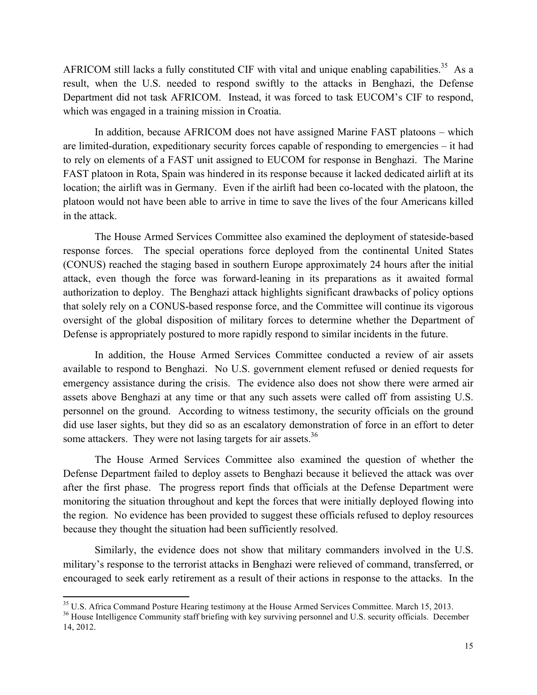AFRICOM still lacks a fully constituted CIF with vital and unique enabling capabilities.<sup>35</sup> As a result, when the U.S. needed to respond swiftly to the attacks in Benghazi, the Defense Department did not task AFRICOM. Instead, it was forced to task EUCOM's CIF to respond, which was engaged in a training mission in Croatia.

In addition, because AFRICOM does not have assigned Marine FAST platoons – which are limited-duration, expeditionary security forces capable of responding to emergencies – it had to rely on elements of a FAST unit assigned to EUCOM for response in Benghazi. The Marine FAST platoon in Rota, Spain was hindered in its response because it lacked dedicated airlift at its location; the airlift was in Germany. Even if the airlift had been co-located with the platoon, the platoon would not have been able to arrive in time to save the lives of the four Americans killed in the attack.

 The House Armed Services Committee also examined the deployment of stateside-based response forces. The special operations force deployed from the continental United States (CONUS) reached the staging based in southern Europe approximately 24 hours after the initial attack, even though the force was forward-leaning in its preparations as it awaited formal authorization to deploy. The Benghazi attack highlights significant drawbacks of policy options that solely rely on a CONUS-based response force, and the Committee will continue its vigorous oversight of the global disposition of military forces to determine whether the Department of Defense is appropriately postured to more rapidly respond to similar incidents in the future.

In addition, the House Armed Services Committee conducted a review of air assets available to respond to Benghazi. No U.S. government element refused or denied requests for emergency assistance during the crisis. The evidence also does not show there were armed air assets above Benghazi at any time or that any such assets were called off from assisting U.S. personnel on the ground. According to witness testimony, the security officials on the ground did use laser sights, but they did so as an escalatory demonstration of force in an effort to deter some attackers. They were not lasing targets for air assets.<sup>36</sup>

The House Armed Services Committee also examined the question of whether the Defense Department failed to deploy assets to Benghazi because it believed the attack was over after the first phase. The progress report finds that officials at the Defense Department were monitoring the situation throughout and kept the forces that were initially deployed flowing into the region. No evidence has been provided to suggest these officials refused to deploy resources because they thought the situation had been sufficiently resolved.

Similarly, the evidence does not show that military commanders involved in the U.S. military's response to the terrorist attacks in Benghazi were relieved of command, transferred, or encouraged to seek early retirement as a result of their actions in response to the attacks. In the

 $35$  U.S. Africa Command Posture Hearing testimony at the House Armed Services Committee. March 15, 2013.  $36$  House Intelligence Community staff briefing with key surviving personnel and U.S. security officials. December

<sup>14, 2012.</sup>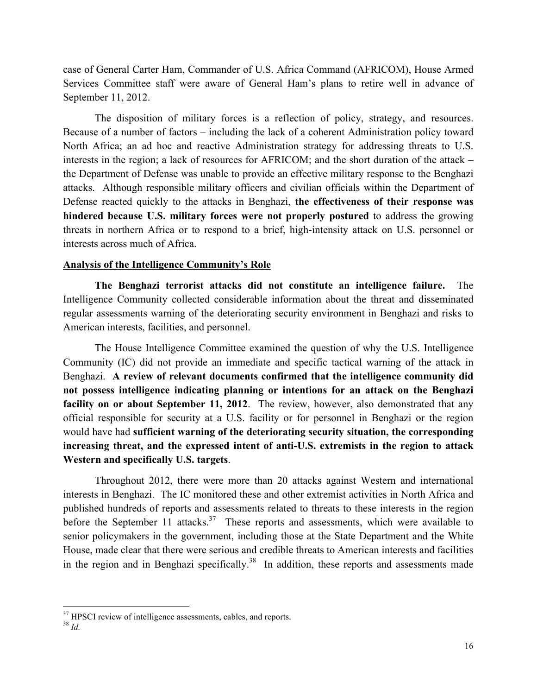case of General Carter Ham, Commander of U.S. Africa Command (AFRICOM), House Armed Services Committee staff were aware of General Ham's plans to retire well in advance of September 11, 2012.

The disposition of military forces is a reflection of policy, strategy, and resources. Because of a number of factors – including the lack of a coherent Administration policy toward North Africa; an ad hoc and reactive Administration strategy for addressing threats to U.S. interests in the region; a lack of resources for AFRICOM; and the short duration of the attack – the Department of Defense was unable to provide an effective military response to the Benghazi attacks. Although responsible military officers and civilian officials within the Department of Defense reacted quickly to the attacks in Benghazi, **the effectiveness of their response was hindered because U.S. military forces were not properly postured** to address the growing threats in northern Africa or to respond to a brief, high-intensity attack on U.S. personnel or interests across much of Africa.

#### **Analysis of the Intelligence Community's Role**

**The Benghazi terrorist attacks did not constitute an intelligence failure.** The Intelligence Community collected considerable information about the threat and disseminated regular assessments warning of the deteriorating security environment in Benghazi and risks to American interests, facilities, and personnel.

The House Intelligence Committee examined the question of why the U.S. Intelligence Community (IC) did not provide an immediate and specific tactical warning of the attack in Benghazi. **A review of relevant documents confirmed that the intelligence community did not possess intelligence indicating planning or intentions for an attack on the Benghazi facility on or about September 11, 2012**. The review, however, also demonstrated that any official responsible for security at a U.S. facility or for personnel in Benghazi or the region would have had **sufficient warning of the deteriorating security situation, the corresponding increasing threat, and the expressed intent of anti-U.S. extremists in the region to attack Western and specifically U.S. targets**.

Throughout 2012, there were more than 20 attacks against Western and international interests in Benghazi. The IC monitored these and other extremist activities in North Africa and published hundreds of reports and assessments related to threats to these interests in the region before the September 11 attacks.<sup>37</sup> These reports and assessments, which were available to senior policymakers in the government, including those at the State Department and the White House, made clear that there were serious and credible threats to American interests and facilities in the region and in Benghazi specifically.<sup>38</sup> In addition, these reports and assessments made

 $^{37}_{\ 38}$  HPSCI review of intelligence assessments, cables, and reports.  $^{38}$   $^{Id}$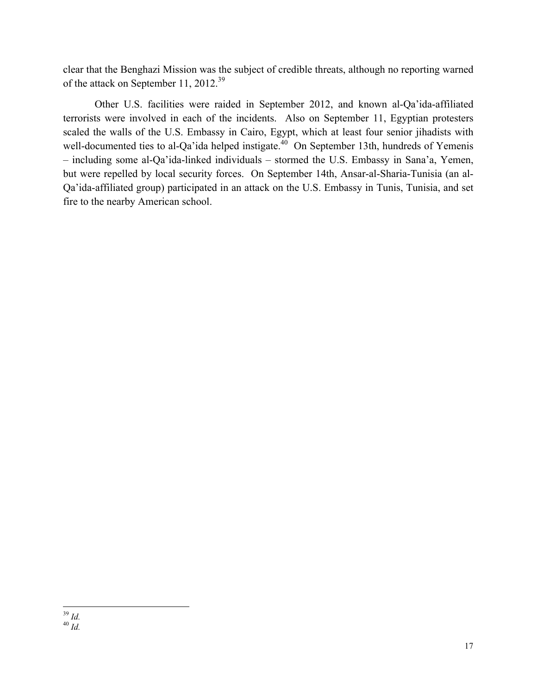clear that the Benghazi Mission was the subject of credible threats, although no reporting warned of the attack on September 11, 2012.<sup>39</sup>

Other U.S. facilities were raided in September 2012, and known al-Qa'ida-affiliated terrorists were involved in each of the incidents. Also on September 11, Egyptian protesters scaled the walls of the U.S. Embassy in Cairo, Egypt, which at least four senior jihadists with well-documented ties to al-Qa'ida helped instigate.<sup>40</sup> On September 13th, hundreds of Yemenis – including some al-Qa'ida-linked individuals – stormed the U.S. Embassy in Sana'a, Yemen, but were repelled by local security forces. On September 14th, Ansar-al-Sharia-Tunisia (an al-Qa'ida-affiliated group) participated in an attack on the U.S. Embassy in Tunis, Tunisia, and set fire to the nearby American school.

<sup>39</sup> *Id.* 40 *Id.*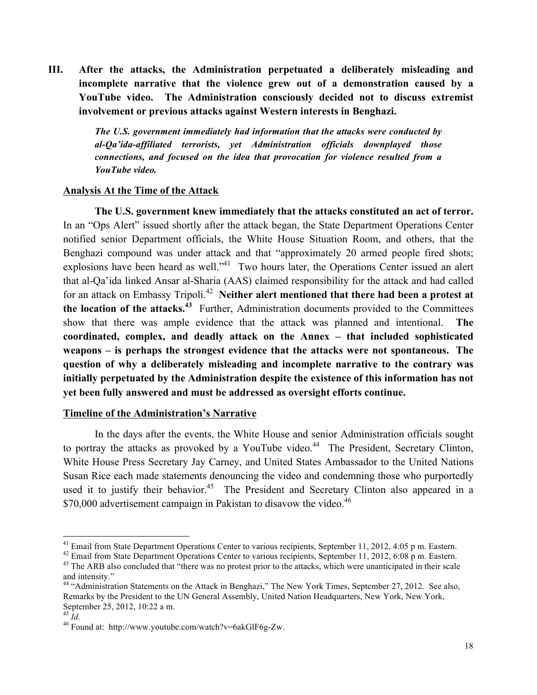**III. After the attacks, the Administration perpetuated a deliberately misleading and incomplete narrative that the violence grew out of a demonstration caused by a YouTube video. The Administration consciously decided not to discuss extremist involvement or previous attacks against Western interests in Benghazi.** 

> *The U.S. government immediately had information that the attacks were conducted by al-Qa'ida-affiliated terrorists, yet Administration officials downplayed those connections, and focused on the idea that provocation for violence resulted from a YouTube video.*

#### **Analysis At the Time of the Attack**

**The U.S. government knew immediately that the attacks constituted an act of terror.** In an "Ops Alert" issued shortly after the attack began, the State Department Operations Center notified senior Department officials, the White House Situation Room, and others, that the Benghazi compound was under attack and that "approximately 20 armed people fired shots; explosions have been heard as well."<sup>41</sup> Two hours later, the Operations Center issued an alert that al-Qa'ida linked Ansar al-Sharia (AAS) claimed responsibility for the attack and had called for an attack on Embassy Tripoli.<sup>42</sup> Neither alert mentioned that there had been a protest at **the location of the attacks.43** Further, Administration documents provided to the Committees show that there was ample evidence that the attack was planned and intentional. **The coordinated, complex, and deadly attack on the Annex – that included sophisticated weapons – is perhaps the strongest evidence that the attacks were not spontaneous. The question of why a deliberately misleading and incomplete narrative to the contrary was initially perpetuated by the Administration despite the existence of this information has not yet been fully answered and must be addressed as oversight efforts continue.**

#### **Timeline of the Administration's Narrative**

In the days after the events, the White House and senior Administration officials sought to portray the attacks as provoked by a YouTube video.<sup>44</sup> The President, Secretary Clinton, White House Press Secretary Jay Carney, and United States Ambassador to the United Nations Susan Rice each made statements denouncing the video and condemning those who purportedly used it to justify their behavior.<sup>45</sup> The President and Secretary Clinton also appeared in a \$70,000 advertisement campaign in Pakistan to disavow the video.<sup>46</sup>

<sup>&</sup>lt;sup>41</sup> Email from State Department Operations Center to various recipients, September 11, 2012, 4:05 p m. Eastern.<br><sup>42</sup> Email from State Department Operations Center to various recipients, September 11, 2012, 6:08 p m. East

and intensity."

<sup>44</sup> "Administration Statements on the Attack in Benghazi," The New York Times, September 27, 2012. See also, Remarks by the President to the UN General Assembly, United Nation Headquarters, New York, New York, September 25, 2012, 10:22 a m.<br><sup>45</sup> Id.

<sup>&</sup>lt;sup>46</sup> Found at: http://www.youtube.com/watch?v=6akGlF6g-Zw.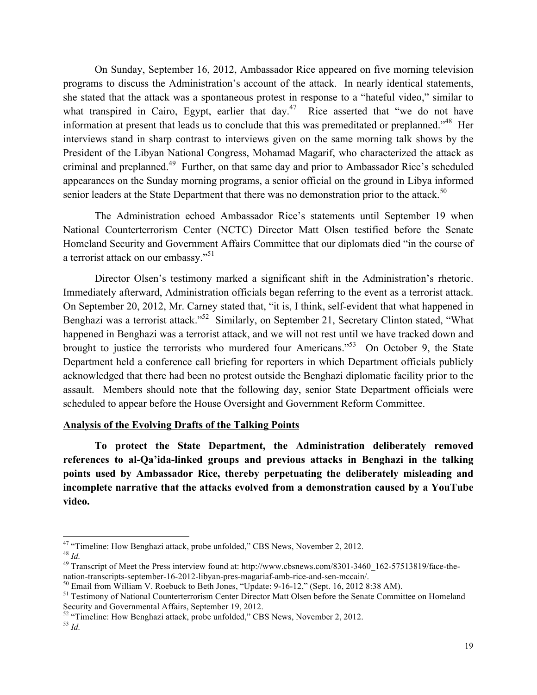On Sunday, September 16, 2012, Ambassador Rice appeared on five morning television programs to discuss the Administration's account of the attack. In nearly identical statements, she stated that the attack was a spontaneous protest in response to a "hateful video," similar to what transpired in Cairo, Egypt, earlier that  $day<sup>47</sup>$  Rice asserted that "we do not have information at present that leads us to conclude that this was premeditated or preplanned."48 Her interviews stand in sharp contrast to interviews given on the same morning talk shows by the President of the Libyan National Congress, Mohamad Magarif, who characterized the attack as criminal and preplanned.49 Further, on that same day and prior to Ambassador Rice's scheduled appearances on the Sunday morning programs, a senior official on the ground in Libya informed senior leaders at the State Department that there was no demonstration prior to the attack.<sup>50</sup>

The Administration echoed Ambassador Rice's statements until September 19 when National Counterterrorism Center (NCTC) Director Matt Olsen testified before the Senate Homeland Security and Government Affairs Committee that our diplomats died "in the course of a terrorist attack on our embassy."<sup>51</sup>

Director Olsen's testimony marked a significant shift in the Administration's rhetoric. Immediately afterward, Administration officials began referring to the event as a terrorist attack. On September 20, 2012, Mr. Carney stated that, "it is, I think, self-evident that what happened in Benghazi was a terrorist attack."<sup>52</sup> Similarly, on September 21, Secretary Clinton stated, "What happened in Benghazi was a terrorist attack, and we will not rest until we have tracked down and brought to justice the terrorists who murdered four Americans."<sup>53</sup> On October 9, the State Department held a conference call briefing for reporters in which Department officials publicly acknowledged that there had been no protest outside the Benghazi diplomatic facility prior to the assault. Members should note that the following day, senior State Department officials were scheduled to appear before the House Oversight and Government Reform Committee.

#### **Analysis of the Evolving Drafts of the Talking Points**

**To protect the State Department, the Administration deliberately removed references to al-Qa'ida-linked groups and previous attacks in Benghazi in the talking points used by Ambassador Rice, thereby perpetuating the deliberately misleading and incomplete narrative that the attacks evolved from a demonstration caused by a YouTube video.** 

<sup>&</sup>lt;sup>47</sup> "Timeline: How Benghazi attack, probe unfolded," CBS News, November 2, 2012.<br><sup>48</sup> *Id.* Transcript of Meet the Press interview found at: http://www.cbsnews.com/8301-3460\_162-57513819/face-the-<br><sup>49</sup> Transcripts-septemb

 $^{50}$  Email from William V. Roebuck to Beth Jones, "Update: 9-16-12," (Sept. 16, 2012 8:38 AM).<br><sup>51</sup> Testimony of National Counterterrorism Center Director Matt Olsen before the Senate Committee on Homeland Security and Governmental Affairs, September 19, 2012.

<sup>&</sup>lt;sup>52</sup> "Timeline: How Benghazi attack, probe unfolded," CBS News, November 2, 2012.<br><sup>53</sup> *Id.*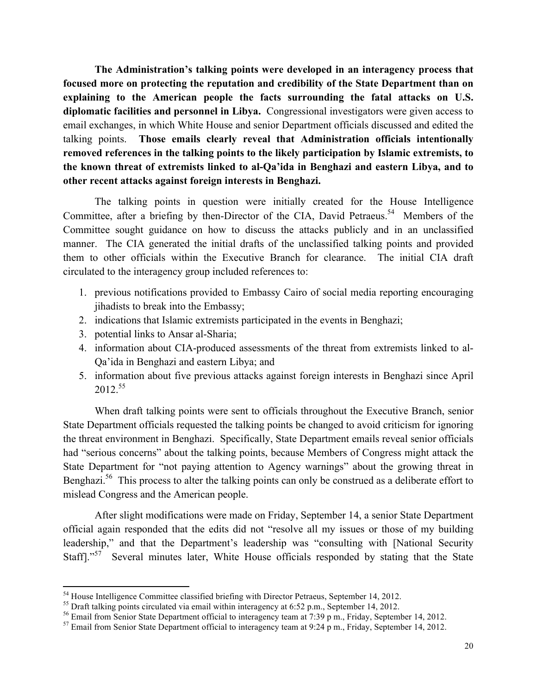**The Administration's talking points were developed in an interagency process that focused more on protecting the reputation and credibility of the State Department than on explaining to the American people the facts surrounding the fatal attacks on U.S. diplomatic facilities and personnel in Libya.** Congressional investigators were given access to email exchanges, in which White House and senior Department officials discussed and edited the talking points. **Those emails clearly reveal that Administration officials intentionally removed references in the talking points to the likely participation by Islamic extremists, to the known threat of extremists linked to al-Qa'ida in Benghazi and eastern Libya, and to other recent attacks against foreign interests in Benghazi.** 

The talking points in question were initially created for the House Intelligence Committee, after a briefing by then-Director of the CIA, David Petraeus.<sup>54</sup> Members of the Committee sought guidance on how to discuss the attacks publicly and in an unclassified manner. The CIA generated the initial drafts of the unclassified talking points and provided them to other officials within the Executive Branch for clearance. The initial CIA draft circulated to the interagency group included references to:

- 1. previous notifications provided to Embassy Cairo of social media reporting encouraging jihadists to break into the Embassy;
- 2. indications that Islamic extremists participated in the events in Benghazi;
- 3. potential links to Ansar al-Sharia;
- 4. information about CIA-produced assessments of the threat from extremists linked to al-Qa'ida in Benghazi and eastern Libya; and
- 5. information about five previous attacks against foreign interests in Benghazi since April  $2012^{55}$

When draft talking points were sent to officials throughout the Executive Branch, senior State Department officials requested the talking points be changed to avoid criticism for ignoring the threat environment in Benghazi. Specifically, State Department emails reveal senior officials had "serious concerns" about the talking points, because Members of Congress might attack the State Department for "not paying attention to Agency warnings" about the growing threat in Benghazi.<sup>56</sup> This process to alter the talking points can only be construed as a deliberate effort to mislead Congress and the American people.

After slight modifications were made on Friday, September 14, a senior State Department official again responded that the edits did not "resolve all my issues or those of my building leadership," and that the Department's leadership was "consulting with [National Security Staff.<sup>57</sup> Several minutes later, White House officials responded by stating that the State

<sup>&</sup>lt;sup>54</sup> House Intelligence Committee classified briefing with Director Petraeus, September 14, 2012.<br><sup>55</sup> Draft talking points circulated via email within interagency at 6:52 p.m., September 14, 2012.<br><sup>56</sup> Email from Senior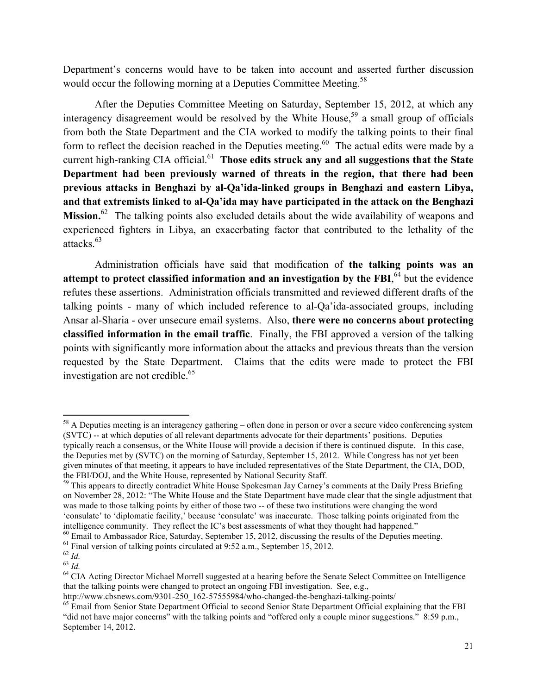Department's concerns would have to be taken into account and asserted further discussion would occur the following morning at a Deputies Committee Meeting.<sup>58</sup>

After the Deputies Committee Meeting on Saturday, September 15, 2012, at which any interagency disagreement would be resolved by the White House,<sup>59</sup> a small group of officials from both the State Department and the CIA worked to modify the talking points to their final form to reflect the decision reached in the Deputies meeting.<sup>60</sup> The actual edits were made by a current high-ranking CIA official.<sup>61</sup> Those edits struck any and all suggestions that the State **Department had been previously warned of threats in the region, that there had been previous attacks in Benghazi by al-Qa'ida-linked groups in Benghazi and eastern Libya, and that extremists linked to al-Qa'ida may have participated in the attack on the Benghazi**  Mission.<sup>62</sup> The talking points also excluded details about the wide availability of weapons and experienced fighters in Libya, an exacerbating factor that contributed to the lethality of the attacks $63$ 

Administration officials have said that modification of **the talking points was an attempt to protect classified information and an investigation by the FBI**, <sup>64</sup> but the evidence refutes these assertions. Administration officials transmitted and reviewed different drafts of the talking points - many of which included reference to al-Qa'ida-associated groups, including Ansar al-Sharia - over unsecure email systems. Also, **there were no concerns about protecting classified information in the email traffic**. Finally, the FBI approved a version of the talking points with significantly more information about the attacks and previous threats than the version requested by the State Department. Claims that the edits were made to protect the FBI investigation are not credible.<sup>65</sup>

 $58$  A Deputies meeting is an interagency gathering – often done in person or over a secure video conferencing system (SVTC) -- at which deputies of all relevant departments advocate for their departments' positions. Deputies typically reach a consensus, or the White House will provide a decision if there is continued dispute. In this case, the Deputies met by (SVTC) on the morning of Saturday, September 15, 2012. While Congress has not yet been given minutes of that meeting, it appears to have included representatives of the State Department, the CIA, DOD, the FBI/DOJ, and the White House, represented by National Security Staff.

<sup>&</sup>lt;sup>59</sup> This appears to directly contradict White House Spokesman Jay Carney's comments at the Daily Press Briefing on November 28, 2012: "The White House and the State Department have made clear that the single adjustment that was made to those talking points by either of those two -- of these two institutions were changing the word 'consulate' to 'diplomatic facility,' because 'consulate' was inaccurate. Those talking points originated from the intelligence community. They reflect the IC's best assessments of what they thought had happened."

<sup>&</sup>lt;sup>60</sup> Email to Ambassador Rice, Saturday, September 15, 2012, discussing the results of the Deputies meeting.<br><sup>61</sup> Final version of talking points circulated at 9:52 a.m., September 15, 2012.<br><sup>62</sup> *Id.*<br><sup>64</sup> CIA Acting Dir

that the talking points were changed to protect an ongoing FBI investigation. See, e.g., http://www.cbsnews.com/9301-250 162-57555984/who-changed-the-benghazi-talking-points/

 $65$  Email from Senior State Department Official to second Senior State Department Official explaining that the FBI "did not have major concerns" with the talking points and "offered only a couple minor suggestions." 8:59 p.m., September 14, 2012.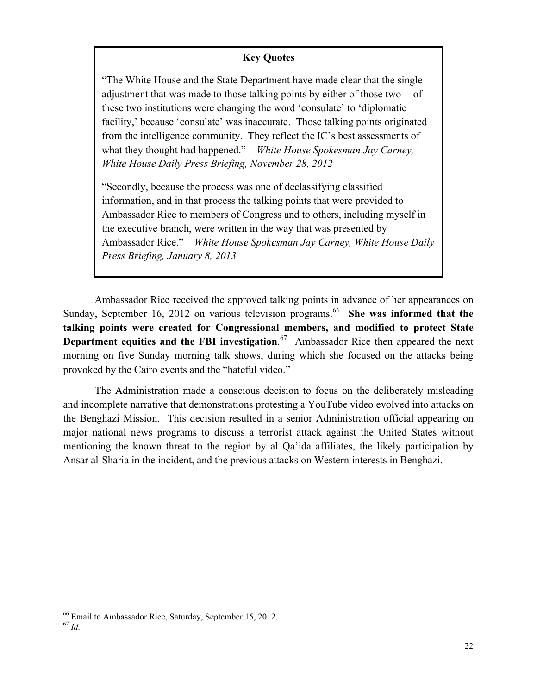# **Key Quotes**

"The White House and the State Department have made clear that the single adjustment that was made to those talking points by either of those two -- of these two institutions were changing the word 'consulate' to 'diplomatic facility,' because 'consulate' was inaccurate. Those talking points originated from the intelligence community. They reflect the IC's best assessments of what they thought had happened." – *White House Spokesman Jay Carney, White House Daily Press Briefing, November 28, 2012*

"Secondly, because the process was one of declassifying classified information, and in that process the talking points that were provided to Ambassador Rice to members of Congress and to others, including myself in the executive branch, were written in the way that was presented by Ambassador Rice." – *White House Spokesman Jay Carney, White House Daily Press Briefing, January 8, 2013*

 Ambassador Rice received the approved talking points in advance of her appearances on Sunday, September 16, 2012 on various television programs.<sup>66</sup> She was informed that the **talking points were created for Congressional members, and modified to protect State Department equities and the FBI investigation**. 67 Ambassador Rice then appeared the next morning on five Sunday morning talk shows, during which she focused on the attacks being provoked by the Cairo events and the "hateful video."

The Administration made a conscious decision to focus on the deliberately misleading and incomplete narrative that demonstrations protesting a YouTube video evolved into attacks on the Benghazi Mission. This decision resulted in a senior Administration official appearing on major national news programs to discuss a terrorist attack against the United States without mentioning the known threat to the region by al Qa'ida affiliates, the likely participation by Ansar al-Sharia in the incident, and the previous attacks on Western interests in Benghazi.

 $^{66}_{67}$  Email to Ambassador Rice, Saturday, September 15, 2012.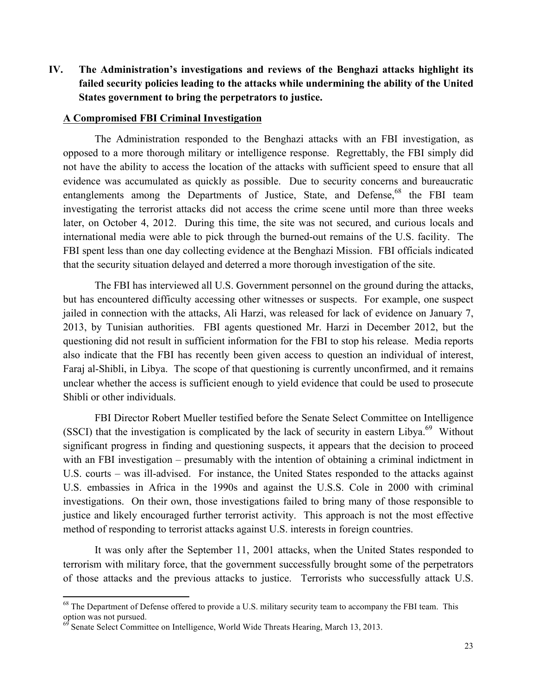**IV. The Administration's investigations and reviews of the Benghazi attacks highlight its failed security policies leading to the attacks while undermining the ability of the United States government to bring the perpetrators to justice.** 

#### **A Compromised FBI Criminal Investigation**

The Administration responded to the Benghazi attacks with an FBI investigation, as opposed to a more thorough military or intelligence response. Regrettably, the FBI simply did not have the ability to access the location of the attacks with sufficient speed to ensure that all evidence was accumulated as quickly as possible. Due to security concerns and bureaucratic entanglements among the Departments of Justice, State, and Defense,<sup>68</sup> the FBI team investigating the terrorist attacks did not access the crime scene until more than three weeks later, on October 4, 2012. During this time, the site was not secured, and curious locals and international media were able to pick through the burned-out remains of the U.S. facility. The FBI spent less than one day collecting evidence at the Benghazi Mission. FBI officials indicated that the security situation delayed and deterred a more thorough investigation of the site.

The FBI has interviewed all U.S. Government personnel on the ground during the attacks, but has encountered difficulty accessing other witnesses or suspects. For example, one suspect jailed in connection with the attacks, Ali Harzi, was released for lack of evidence on January 7, 2013, by Tunisian authorities. FBI agents questioned Mr. Harzi in December 2012, but the questioning did not result in sufficient information for the FBI to stop his release. Media reports also indicate that the FBI has recently been given access to question an individual of interest, Faraj al-Shibli, in Libya. The scope of that questioning is currently unconfirmed, and it remains unclear whether the access is sufficient enough to yield evidence that could be used to prosecute Shibli or other individuals.

FBI Director Robert Mueller testified before the Senate Select Committee on Intelligence (SSCI) that the investigation is complicated by the lack of security in eastern Libya.<sup>69</sup> Without significant progress in finding and questioning suspects, it appears that the decision to proceed with an FBI investigation – presumably with the intention of obtaining a criminal indictment in U.S. courts – was ill-advised. For instance, the United States responded to the attacks against U.S. embassies in Africa in the 1990s and against the U.S.S. Cole in 2000 with criminal investigations. On their own, those investigations failed to bring many of those responsible to justice and likely encouraged further terrorist activity. This approach is not the most effective method of responding to terrorist attacks against U.S. interests in foreign countries.

It was only after the September 11, 2001 attacks, when the United States responded to terrorism with military force, that the government successfully brought some of the perpetrators of those attacks and the previous attacks to justice. Terrorists who successfully attack U.S.

<sup>&</sup>lt;sup>68</sup> The Department of Defense offered to provide a U.S. military security team to accompany the FBI team. This option was not pursued.

 $69$  Senate Select Committee on Intelligence, World Wide Threats Hearing, March 13, 2013.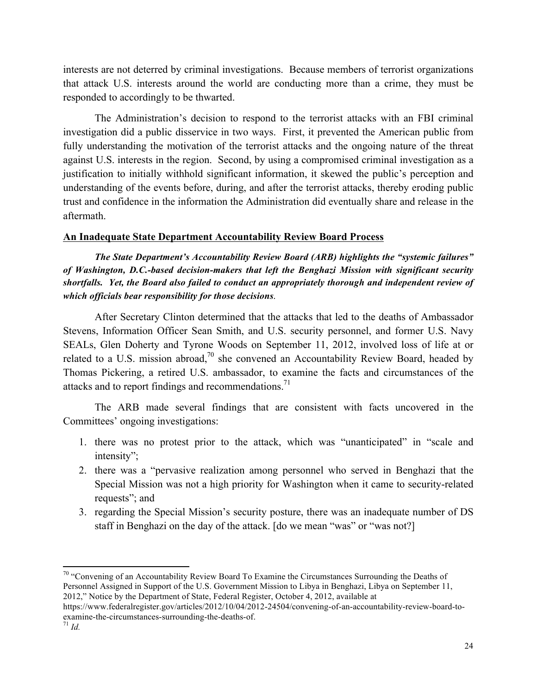interests are not deterred by criminal investigations. Because members of terrorist organizations that attack U.S. interests around the world are conducting more than a crime, they must be responded to accordingly to be thwarted.

The Administration's decision to respond to the terrorist attacks with an FBI criminal investigation did a public disservice in two ways. First, it prevented the American public from fully understanding the motivation of the terrorist attacks and the ongoing nature of the threat against U.S. interests in the region. Second, by using a compromised criminal investigation as a justification to initially withhold significant information, it skewed the public's perception and understanding of the events before, during, and after the terrorist attacks, thereby eroding public trust and confidence in the information the Administration did eventually share and release in the aftermath.

## **An Inadequate State Department Accountability Review Board Process**

*The State Department's Accountability Review Board (ARB) highlights the "systemic failures" of Washington, D.C.-based decision-makers that left the Benghazi Mission with significant security shortfalls. Yet, the Board also failed to conduct an appropriately thorough and independent review of which officials bear responsibility for those decisions.* 

After Secretary Clinton determined that the attacks that led to the deaths of Ambassador Stevens, Information Officer Sean Smith, and U.S. security personnel, and former U.S. Navy SEALs, Glen Doherty and Tyrone Woods on September 11, 2012, involved loss of life at or related to a U.S. mission abroad, $^{70}$  she convened an Accountability Review Board, headed by Thomas Pickering, a retired U.S. ambassador, to examine the facts and circumstances of the attacks and to report findings and recommendations.<sup>71</sup>

The ARB made several findings that are consistent with facts uncovered in the Committees' ongoing investigations:

- 1. there was no protest prior to the attack, which was "unanticipated" in "scale and intensity";
- 2. there was a "pervasive realization among personnel who served in Benghazi that the Special Mission was not a high priority for Washington when it came to security-related requests"; and
- 3. regarding the Special Mission's security posture, there was an inadequate number of DS staff in Benghazi on the day of the attack. [do we mean "was" or "was not?]

 $70$  "Convening of an Accountability Review Board To Examine the Circumstances Surrounding the Deaths of Personnel Assigned in Support of the U.S. Government Mission to Libya in Benghazi, Libya on September 11, 2012," Notice by the Department of State, Federal Register, October 4, 2012, available at

https://www.federalregister.gov/articles/2012/10/04/2012-24504/convening-of-an-accountability-review-board-toexamine-the-circumstances-surrounding-the-deaths-of. <sup>71</sup> *Id.*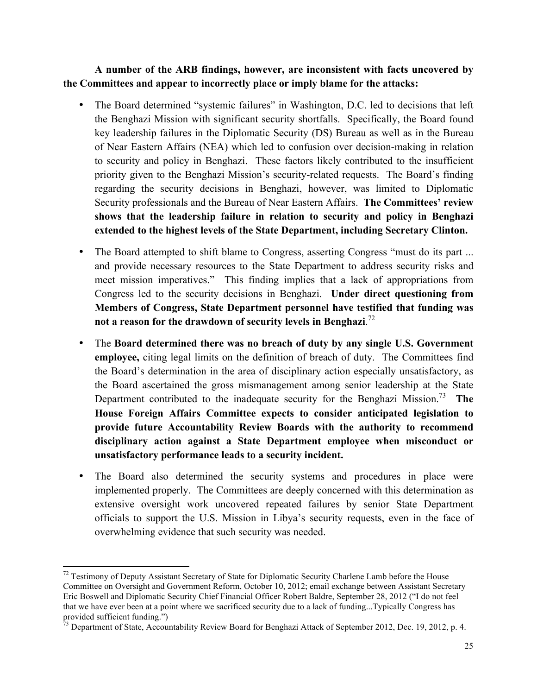**A number of the ARB findings, however, are inconsistent with facts uncovered by the Committees and appear to incorrectly place or imply blame for the attacks:**

- The Board determined "systemic failures" in Washington, D.C. led to decisions that left the Benghazi Mission with significant security shortfalls. Specifically, the Board found key leadership failures in the Diplomatic Security (DS) Bureau as well as in the Bureau of Near Eastern Affairs (NEA) which led to confusion over decision-making in relation to security and policy in Benghazi. These factors likely contributed to the insufficient priority given to the Benghazi Mission's security-related requests. The Board's finding regarding the security decisions in Benghazi, however, was limited to Diplomatic Security professionals and the Bureau of Near Eastern Affairs. **The Committees' review shows that the leadership failure in relation to security and policy in Benghazi extended to the highest levels of the State Department, including Secretary Clinton.**
- The Board attempted to shift blame to Congress, asserting Congress "must do its part ... and provide necessary resources to the State Department to address security risks and meet mission imperatives." This finding implies that a lack of appropriations from Congress led to the security decisions in Benghazi. **Under direct questioning from Members of Congress, State Department personnel have testified that funding was not a reason for the drawdown of security levels in Benghazi**. 72
- The **Board determined there was no breach of duty by any single U.S. Government employee,** citing legal limits on the definition of breach of duty. The Committees find the Board's determination in the area of disciplinary action especially unsatisfactory, as the Board ascertained the gross mismanagement among senior leadership at the State Department contributed to the inadequate security for the Benghazi Mission. 73 **The House Foreign Affairs Committee expects to consider anticipated legislation to provide future Accountability Review Boards with the authority to recommend disciplinary action against a State Department employee when misconduct or unsatisfactory performance leads to a security incident.**
- The Board also determined the security systems and procedures in place were implemented properly. The Committees are deeply concerned with this determination as extensive oversight work uncovered repeated failures by senior State Department officials to support the U.S. Mission in Libya's security requests, even in the face of overwhelming evidence that such security was needed.

 $72$  Testimony of Deputy Assistant Secretary of State for Diplomatic Security Charlene Lamb before the House Committee on Oversight and Government Reform, October 10, 2012; email exchange between Assistant Secretary Eric Boswell and Diplomatic Security Chief Financial Officer Robert Baldre, September 28, 2012 ("I do not feel that we have ever been at a point where we sacrificed security due to a lack of funding...Typically Congress has provided sufficient funding.")

<sup>&</sup>lt;sup>73</sup> Department of State, Accountability Review Board for Benghazi Attack of September 2012, Dec. 19, 2012, p. 4.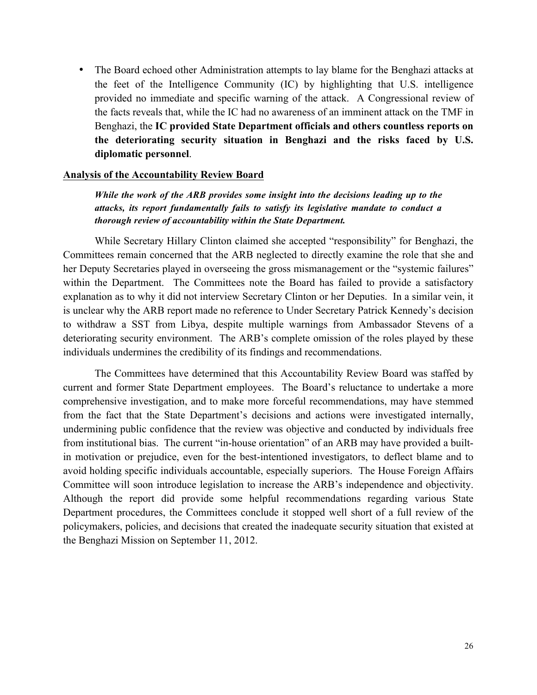The Board echoed other Administration attempts to lay blame for the Benghazi attacks at the feet of the Intelligence Community (IC) by highlighting that U.S. intelligence provided no immediate and specific warning of the attack. A Congressional review of the facts reveals that, while the IC had no awareness of an imminent attack on the TMF in Benghazi, the **IC provided State Department officials and others countless reports on the deteriorating security situation in Benghazi and the risks faced by U.S. diplomatic personnel**.

#### **Analysis of the Accountability Review Board**

*While the work of the ARB provides some insight into the decisions leading up to the attacks, its report fundamentally fails to satisfy its legislative mandate to conduct a thorough review of accountability within the State Department.*

 While Secretary Hillary Clinton claimed she accepted "responsibility" for Benghazi, the Committees remain concerned that the ARB neglected to directly examine the role that she and her Deputy Secretaries played in overseeing the gross mismanagement or the "systemic failures" within the Department. The Committees note the Board has failed to provide a satisfactory explanation as to why it did not interview Secretary Clinton or her Deputies. In a similar vein, it is unclear why the ARB report made no reference to Under Secretary Patrick Kennedy's decision to withdraw a SST from Libya, despite multiple warnings from Ambassador Stevens of a deteriorating security environment. The ARB's complete omission of the roles played by these individuals undermines the credibility of its findings and recommendations.

 The Committees have determined that this Accountability Review Board was staffed by current and former State Department employees. The Board's reluctance to undertake a more comprehensive investigation, and to make more forceful recommendations, may have stemmed from the fact that the State Department's decisions and actions were investigated internally, undermining public confidence that the review was objective and conducted by individuals free from institutional bias. The current "in-house orientation" of an ARB may have provided a builtin motivation or prejudice, even for the best-intentioned investigators, to deflect blame and to avoid holding specific individuals accountable, especially superiors. The House Foreign Affairs Committee will soon introduce legislation to increase the ARB's independence and objectivity. Although the report did provide some helpful recommendations regarding various State Department procedures, the Committees conclude it stopped well short of a full review of the policymakers, policies, and decisions that created the inadequate security situation that existed at the Benghazi Mission on September 11, 2012.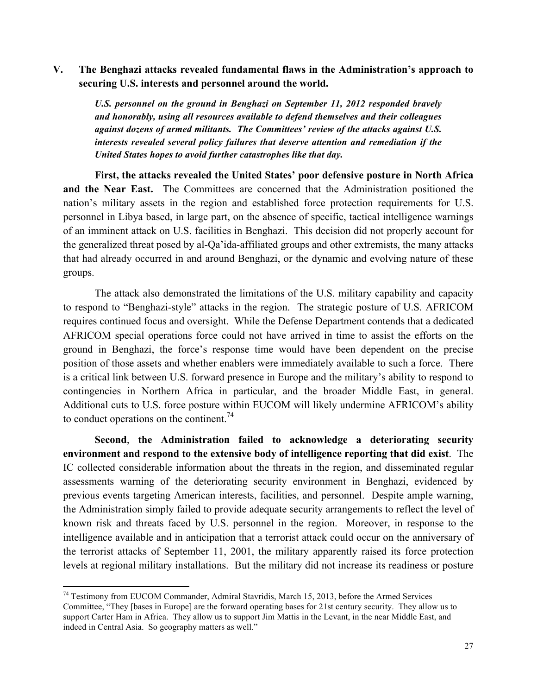# **V. The Benghazi attacks revealed fundamental flaws in the Administration's approach to securing U.S. interests and personnel around the world.**

U.S. personnel on the ground in Benghazi on September 11, 2012 responded bravely *and honorably, using all resources available to defend themselves and their colleagues against dozens of armed militants. The Committees' review of the attacks against U.S. interests revealed several policy failures that deserve attention and remediation if the United States hopes to avoid further catastrophes like that day.*

**First, the attacks revealed the United States' poor defensive posture in North Africa and the Near East.** The Committees are concerned that the Administration positioned the nation's military assets in the region and established force protection requirements for U.S. personnel in Libya based, in large part, on the absence of specific, tactical intelligence warnings of an imminent attack on U.S. facilities in Benghazi. This decision did not properly account for the generalized threat posed by al-Qa'ida-affiliated groups and other extremists, the many attacks that had already occurred in and around Benghazi, or the dynamic and evolving nature of these groups.

The attack also demonstrated the limitations of the U.S. military capability and capacity to respond to "Benghazi-style" attacks in the region. The strategic posture of U.S. AFRICOM requires continued focus and oversight. While the Defense Department contends that a dedicated AFRICOM special operations force could not have arrived in time to assist the efforts on the ground in Benghazi, the force's response time would have been dependent on the precise position of those assets and whether enablers were immediately available to such a force. There is a critical link between U.S. forward presence in Europe and the military's ability to respond to contingencies in Northern Africa in particular, and the broader Middle East, in general. Additional cuts to U.S. force posture within EUCOM will likely undermine AFRICOM's ability to conduct operations on the continent.<sup>74</sup>

**Second**, **the Administration failed to acknowledge a deteriorating security environment and respond to the extensive body of intelligence reporting that did exist**. The IC collected considerable information about the threats in the region, and disseminated regular assessments warning of the deteriorating security environment in Benghazi, evidenced by previous events targeting American interests, facilities, and personnel. Despite ample warning, the Administration simply failed to provide adequate security arrangements to reflect the level of known risk and threats faced by U.S. personnel in the region. Moreover, in response to the intelligence available and in anticipation that a terrorist attack could occur on the anniversary of the terrorist attacks of September 11, 2001, the military apparently raised its force protection levels at regional military installations. But the military did not increase its readiness or posture

<sup>&</sup>lt;sup>74</sup> Testimony from EUCOM Commander, Admiral Stavridis, March 15, 2013, before the Armed Services Committee, "They [bases in Europe] are the forward operating bases for 21st century security. They allow us to support Carter Ham in Africa. They allow us to support Jim Mattis in the Levant, in the near Middle East, and indeed in Central Asia. So geography matters as well."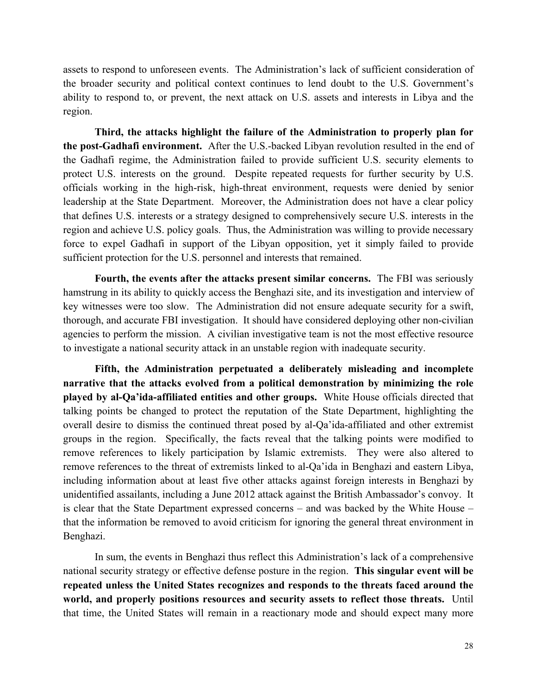assets to respond to unforeseen events. The Administration's lack of sufficient consideration of the broader security and political context continues to lend doubt to the U.S. Government's ability to respond to, or prevent, the next attack on U.S. assets and interests in Libya and the region.

**Third, the attacks highlight the failure of the Administration to properly plan for the post-Gadhafi environment.** After the U.S.-backed Libyan revolution resulted in the end of the Gadhafi regime, the Administration failed to provide sufficient U.S. security elements to protect U.S. interests on the ground. Despite repeated requests for further security by U.S. officials working in the high-risk, high-threat environment, requests were denied by senior leadership at the State Department. Moreover, the Administration does not have a clear policy that defines U.S. interests or a strategy designed to comprehensively secure U.S. interests in the region and achieve U.S. policy goals. Thus, the Administration was willing to provide necessary force to expel Gadhafi in support of the Libyan opposition, yet it simply failed to provide sufficient protection for the U.S. personnel and interests that remained.

**Fourth, the events after the attacks present similar concerns.** The FBI was seriously hamstrung in its ability to quickly access the Benghazi site, and its investigation and interview of key witnesses were too slow. The Administration did not ensure adequate security for a swift, thorough, and accurate FBI investigation. It should have considered deploying other non-civilian agencies to perform the mission. A civilian investigative team is not the most effective resource to investigate a national security attack in an unstable region with inadequate security.

**Fifth, the Administration perpetuated a deliberately misleading and incomplete narrative that the attacks evolved from a political demonstration by minimizing the role played by al-Qa'ida-affiliated entities and other groups.** White House officials directed that talking points be changed to protect the reputation of the State Department, highlighting the overall desire to dismiss the continued threat posed by al-Qa'ida-affiliated and other extremist groups in the region. Specifically, the facts reveal that the talking points were modified to remove references to likely participation by Islamic extremists. They were also altered to remove references to the threat of extremists linked to al-Qa'ida in Benghazi and eastern Libya, including information about at least five other attacks against foreign interests in Benghazi by unidentified assailants, including a June 2012 attack against the British Ambassador's convoy. It is clear that the State Department expressed concerns – and was backed by the White House – that the information be removed to avoid criticism for ignoring the general threat environment in Benghazi.

In sum, the events in Benghazi thus reflect this Administration's lack of a comprehensive national security strategy or effective defense posture in the region. **This singular event will be repeated unless the United States recognizes and responds to the threats faced around the world, and properly positions resources and security assets to reflect those threats.** Until that time, the United States will remain in a reactionary mode and should expect many more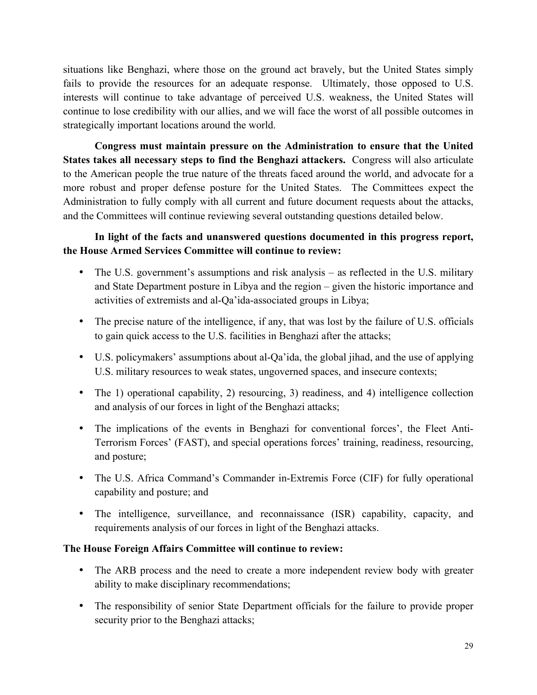situations like Benghazi, where those on the ground act bravely, but the United States simply fails to provide the resources for an adequate response. Ultimately, those opposed to U.S. interests will continue to take advantage of perceived U.S. weakness, the United States will continue to lose credibility with our allies, and we will face the worst of all possible outcomes in strategically important locations around the world.

**Congress must maintain pressure on the Administration to ensure that the United States takes all necessary steps to find the Benghazi attackers.** Congress will also articulate to the American people the true nature of the threats faced around the world, and advocate for a more robust and proper defense posture for the United States. The Committees expect the Administration to fully comply with all current and future document requests about the attacks, and the Committees will continue reviewing several outstanding questions detailed below.

# **In light of the facts and unanswered questions documented in this progress report, the House Armed Services Committee will continue to review:**

- The U.S. government's assumptions and risk analysis as reflected in the U.S. military and State Department posture in Libya and the region – given the historic importance and activities of extremists and al-Qa'ida-associated groups in Libya;
- The precise nature of the intelligence, if any, that was lost by the failure of U.S. officials to gain quick access to the U.S. facilities in Benghazi after the attacks;
- U.S. policymakers' assumptions about al-Qa'ida, the global jihad, and the use of applying U.S. military resources to weak states, ungoverned spaces, and insecure contexts;
- The 1) operational capability, 2) resourcing, 3) readiness, and 4) intelligence collection and analysis of our forces in light of the Benghazi attacks;
- The implications of the events in Benghazi for conventional forces', the Fleet Anti-Terrorism Forces' (FAST), and special operations forces' training, readiness, resourcing, and posture;
- The U.S. Africa Command's Commander in-Extremis Force (CIF) for fully operational capability and posture; and
- The intelligence, surveillance, and reconnaissance (ISR) capability, capacity, and requirements analysis of our forces in light of the Benghazi attacks.

# **The House Foreign Affairs Committee will continue to review:**

- The ARB process and the need to create a more independent review body with greater ability to make disciplinary recommendations;
- The responsibility of senior State Department officials for the failure to provide proper security prior to the Benghazi attacks;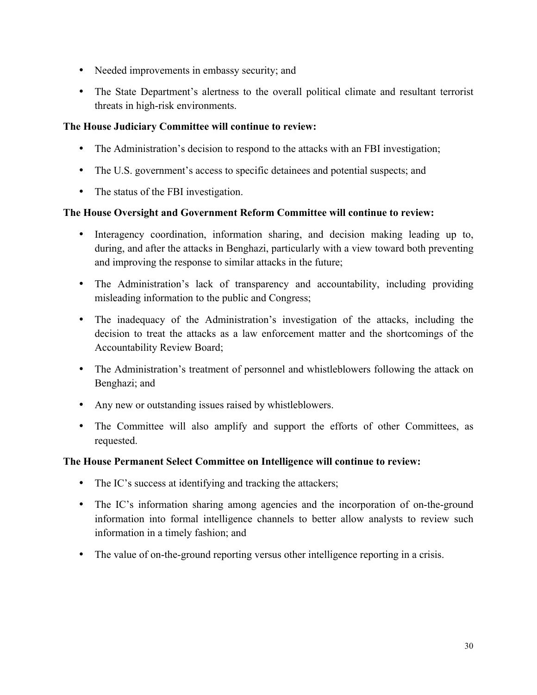- Needed improvements in embassy security; and
- The State Department's alertness to the overall political climate and resultant terrorist threats in high-risk environments.

# **The House Judiciary Committee will continue to review:**

- The Administration's decision to respond to the attacks with an FBI investigation;
- The U.S. government's access to specific detainees and potential suspects; and
- The status of the FBI investigation.

# **The House Oversight and Government Reform Committee will continue to review:**

- Interagency coordination, information sharing, and decision making leading up to, during, and after the attacks in Benghazi, particularly with a view toward both preventing and improving the response to similar attacks in the future;
- The Administration's lack of transparency and accountability, including providing misleading information to the public and Congress;
- The inadequacy of the Administration's investigation of the attacks, including the decision to treat the attacks as a law enforcement matter and the shortcomings of the Accountability Review Board;
- The Administration's treatment of personnel and whistleblowers following the attack on Benghazi; and
- Any new or outstanding issues raised by whistleblowers.
- The Committee will also amplify and support the efforts of other Committees, as requested.

# **The House Permanent Select Committee on Intelligence will continue to review:**

- The IC's success at identifying and tracking the attackers;
- The IC's information sharing among agencies and the incorporation of on-the-ground information into formal intelligence channels to better allow analysts to review such information in a timely fashion; and
- The value of on-the-ground reporting versus other intelligence reporting in a crisis.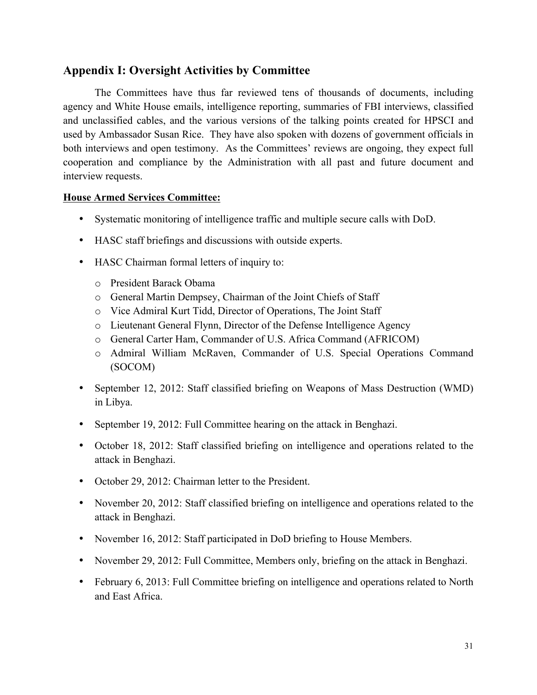# **Appendix I: Oversight Activities by Committee**

The Committees have thus far reviewed tens of thousands of documents, including agency and White House emails, intelligence reporting, summaries of FBI interviews, classified and unclassified cables, and the various versions of the talking points created for HPSCI and used by Ambassador Susan Rice. They have also spoken with dozens of government officials in both interviews and open testimony. As the Committees' reviews are ongoing, they expect full cooperation and compliance by the Administration with all past and future document and interview requests.

## **House Armed Services Committee:**

- Systematic monitoring of intelligence traffic and multiple secure calls with DoD.
- HASC staff briefings and discussions with outside experts.
- HASC Chairman formal letters of inquiry to:
	- o President Barack Obama
	- o General Martin Dempsey, Chairman of the Joint Chiefs of Staff
	- o Vice Admiral Kurt Tidd, Director of Operations, The Joint Staff
	- o Lieutenant General Flynn, Director of the Defense Intelligence Agency
	- o General Carter Ham, Commander of U.S. Africa Command (AFRICOM)
	- o Admiral William McRaven, Commander of U.S. Special Operations Command (SOCOM)
- September 12, 2012: Staff classified briefing on Weapons of Mass Destruction (WMD) in Libya.
- September 19, 2012: Full Committee hearing on the attack in Benghazi.
- October 18, 2012: Staff classified briefing on intelligence and operations related to the attack in Benghazi.
- October 29, 2012: Chairman letter to the President.
- November 20, 2012: Staff classified briefing on intelligence and operations related to the attack in Benghazi.
- November 16, 2012: Staff participated in DoD briefing to House Members.
- November 29, 2012: Full Committee, Members only, briefing on the attack in Benghazi.
- February 6, 2013: Full Committee briefing on intelligence and operations related to North and East Africa.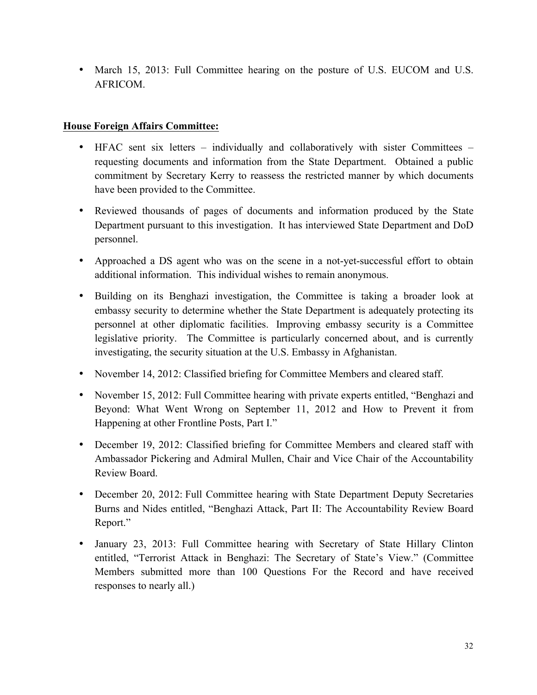• March 15, 2013: Full Committee hearing on the posture of U.S. EUCOM and U.S. AFRICOM.

# **House Foreign Affairs Committee:**

- HFAC sent six letters individually and collaboratively with sister Committees requesting documents and information from the State Department. Obtained a public commitment by Secretary Kerry to reassess the restricted manner by which documents have been provided to the Committee.
- Reviewed thousands of pages of documents and information produced by the State Department pursuant to this investigation. It has interviewed State Department and DoD personnel.
- Approached a DS agent who was on the scene in a not-yet-successful effort to obtain additional information. This individual wishes to remain anonymous.
- Building on its Benghazi investigation, the Committee is taking a broader look at embassy security to determine whether the State Department is adequately protecting its personnel at other diplomatic facilities. Improving embassy security is a Committee legislative priority. The Committee is particularly concerned about, and is currently investigating, the security situation at the U.S. Embassy in Afghanistan.
- November 14, 2012: Classified briefing for Committee Members and cleared staff.
- November 15, 2012: Full Committee hearing with private experts entitled, "Benghazi and Beyond: What Went Wrong on September 11, 2012 and How to Prevent it from Happening at other Frontline Posts, Part I."
- December 19, 2012: Classified briefing for Committee Members and cleared staff with Ambassador Pickering and Admiral Mullen, Chair and Vice Chair of the Accountability Review Board.
- December 20, 2012: Full Committee hearing with State Department Deputy Secretaries Burns and Nides entitled, "Benghazi Attack, Part II: The Accountability Review Board Report."
- January 23, 2013: Full Committee hearing with Secretary of State Hillary Clinton entitled, "Terrorist Attack in Benghazi: The Secretary of State's View." (Committee Members submitted more than 100 Questions For the Record and have received responses to nearly all.)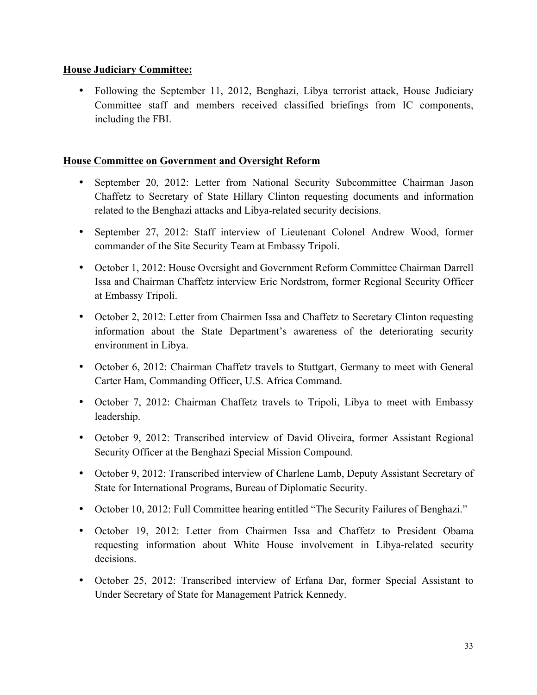# **House Judiciary Committee:**

 Following the September 11, 2012, Benghazi, Libya terrorist attack, House Judiciary Committee staff and members received classified briefings from IC components, including the FBI.

# **House Committee on Government and Oversight Reform**

- September 20, 2012: Letter from National Security Subcommittee Chairman Jason Chaffetz to Secretary of State Hillary Clinton requesting documents and information related to the Benghazi attacks and Libya-related security decisions.
- September 27, 2012: Staff interview of Lieutenant Colonel Andrew Wood, former commander of the Site Security Team at Embassy Tripoli.
- October 1, 2012: House Oversight and Government Reform Committee Chairman Darrell Issa and Chairman Chaffetz interview Eric Nordstrom, former Regional Security Officer at Embassy Tripoli.
- October 2, 2012: Letter from Chairmen Issa and Chaffetz to Secretary Clinton requesting information about the State Department's awareness of the deteriorating security environment in Libya.
- October 6, 2012: Chairman Chaffetz travels to Stuttgart, Germany to meet with General Carter Ham, Commanding Officer, U.S. Africa Command.
- October 7, 2012: Chairman Chaffetz travels to Tripoli, Libya to meet with Embassy leadership.
- October 9, 2012: Transcribed interview of David Oliveira, former Assistant Regional Security Officer at the Benghazi Special Mission Compound.
- October 9, 2012: Transcribed interview of Charlene Lamb, Deputy Assistant Secretary of State for International Programs, Bureau of Diplomatic Security.
- October 10, 2012: Full Committee hearing entitled "The Security Failures of Benghazi."
- October 19, 2012: Letter from Chairmen Issa and Chaffetz to President Obama requesting information about White House involvement in Libya-related security decisions.
- October 25, 2012: Transcribed interview of Erfana Dar, former Special Assistant to Under Secretary of State for Management Patrick Kennedy.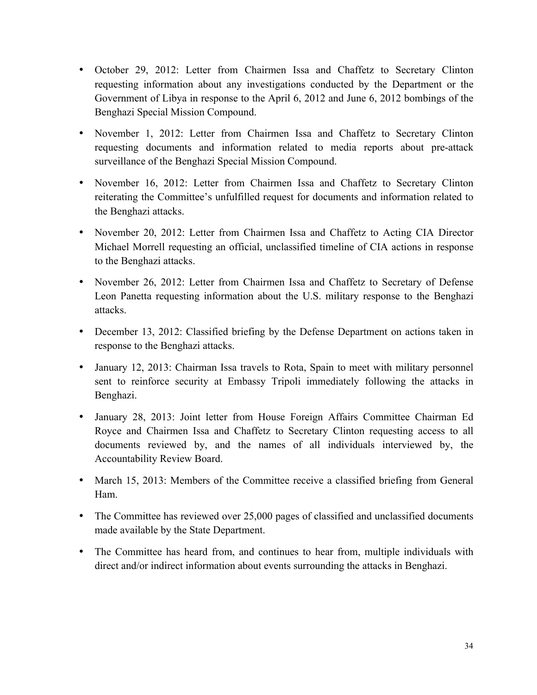- October 29, 2012: Letter from Chairmen Issa and Chaffetz to Secretary Clinton requesting information about any investigations conducted by the Department or the Government of Libya in response to the April 6, 2012 and June 6, 2012 bombings of the Benghazi Special Mission Compound.
- November 1, 2012: Letter from Chairmen Issa and Chaffetz to Secretary Clinton requesting documents and information related to media reports about pre-attack surveillance of the Benghazi Special Mission Compound.
- November 16, 2012: Letter from Chairmen Issa and Chaffetz to Secretary Clinton reiterating the Committee's unfulfilled request for documents and information related to the Benghazi attacks.
- November 20, 2012: Letter from Chairmen Issa and Chaffetz to Acting CIA Director Michael Morrell requesting an official, unclassified timeline of CIA actions in response to the Benghazi attacks.
- November 26, 2012: Letter from Chairmen Issa and Chaffetz to Secretary of Defense Leon Panetta requesting information about the U.S. military response to the Benghazi attacks.
- December 13, 2012: Classified briefing by the Defense Department on actions taken in response to the Benghazi attacks.
- January 12, 2013: Chairman Issa travels to Rota, Spain to meet with military personnel sent to reinforce security at Embassy Tripoli immediately following the attacks in Benghazi.
- January 28, 2013: Joint letter from House Foreign Affairs Committee Chairman Ed Royce and Chairmen Issa and Chaffetz to Secretary Clinton requesting access to all documents reviewed by, and the names of all individuals interviewed by, the Accountability Review Board.
- March 15, 2013: Members of the Committee receive a classified briefing from General Ham.
- The Committee has reviewed over 25,000 pages of classified and unclassified documents made available by the State Department.
- The Committee has heard from, and continues to hear from, multiple individuals with direct and/or indirect information about events surrounding the attacks in Benghazi.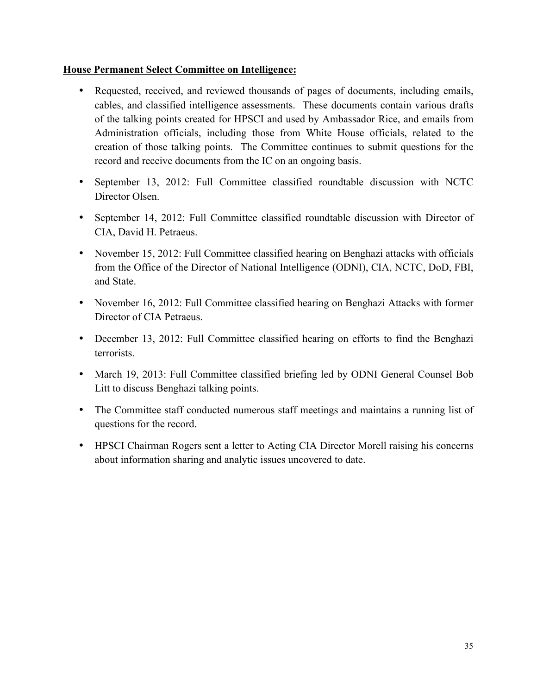# **House Permanent Select Committee on Intelligence:**

- Requested, received, and reviewed thousands of pages of documents, including emails, cables, and classified intelligence assessments. These documents contain various drafts of the talking points created for HPSCI and used by Ambassador Rice, and emails from Administration officials, including those from White House officials, related to the creation of those talking points. The Committee continues to submit questions for the record and receive documents from the IC on an ongoing basis.
- September 13, 2012: Full Committee classified roundtable discussion with NCTC Director Olsen.
- September 14, 2012: Full Committee classified roundtable discussion with Director of CIA, David H. Petraeus.
- November 15, 2012: Full Committee classified hearing on Benghazi attacks with officials from the Office of the Director of National Intelligence (ODNI), CIA, NCTC, DoD, FBI, and State.
- November 16, 2012: Full Committee classified hearing on Benghazi Attacks with former Director of CIA Petraeus.
- December 13, 2012: Full Committee classified hearing on efforts to find the Benghazi terrorists.
- March 19, 2013: Full Committee classified briefing led by ODNI General Counsel Bob Litt to discuss Benghazi talking points.
- The Committee staff conducted numerous staff meetings and maintains a running list of questions for the record.
- HPSCI Chairman Rogers sent a letter to Acting CIA Director Morell raising his concerns about information sharing and analytic issues uncovered to date.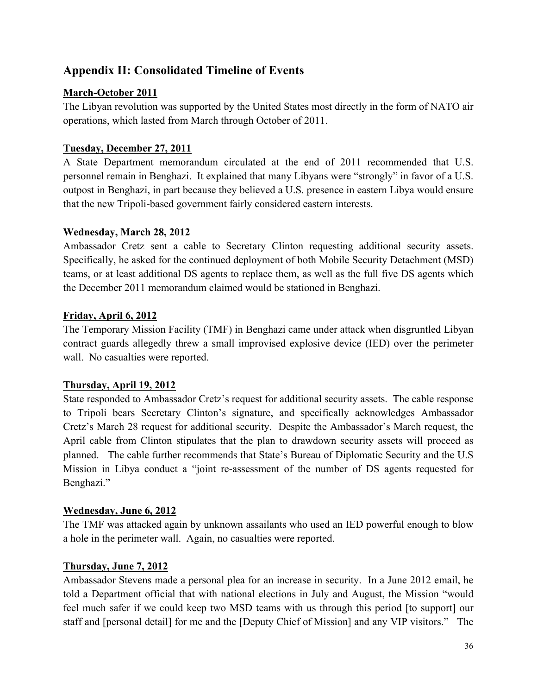# **Appendix II: Consolidated Timeline of Events**

# **March-October 2011**

The Libyan revolution was supported by the United States most directly in the form of NATO air operations, which lasted from March through October of 2011.

# **Tuesday, December 27, 2011**

A State Department memorandum circulated at the end of 2011 recommended that U.S. personnel remain in Benghazi. It explained that many Libyans were "strongly" in favor of a U.S. outpost in Benghazi, in part because they believed a U.S. presence in eastern Libya would ensure that the new Tripoli-based government fairly considered eastern interests.

# **Wednesday, March 28, 2012**

Ambassador Cretz sent a cable to Secretary Clinton requesting additional security assets. Specifically, he asked for the continued deployment of both Mobile Security Detachment (MSD) teams, or at least additional DS agents to replace them, as well as the full five DS agents which the December 2011 memorandum claimed would be stationed in Benghazi.

# **Friday, April 6, 2012**

The Temporary Mission Facility (TMF) in Benghazi came under attack when disgruntled Libyan contract guards allegedly threw a small improvised explosive device (IED) over the perimeter wall. No casualties were reported.

# **Thursday, April 19, 2012**

State responded to Ambassador Cretz's request for additional security assets. The cable response to Tripoli bears Secretary Clinton's signature, and specifically acknowledges Ambassador Cretz's March 28 request for additional security. Despite the Ambassador's March request, the April cable from Clinton stipulates that the plan to drawdown security assets will proceed as planned. The cable further recommends that State's Bureau of Diplomatic Security and the U.S Mission in Libya conduct a "joint re-assessment of the number of DS agents requested for Benghazi."

# **Wednesday, June 6, 2012**

The TMF was attacked again by unknown assailants who used an IED powerful enough to blow a hole in the perimeter wall. Again, no casualties were reported.

# **Thursday, June 7, 2012**

Ambassador Stevens made a personal plea for an increase in security. In a June 2012 email, he told a Department official that with national elections in July and August, the Mission "would feel much safer if we could keep two MSD teams with us through this period [to support] our staff and [personal detail] for me and the [Deputy Chief of Mission] and any VIP visitors." The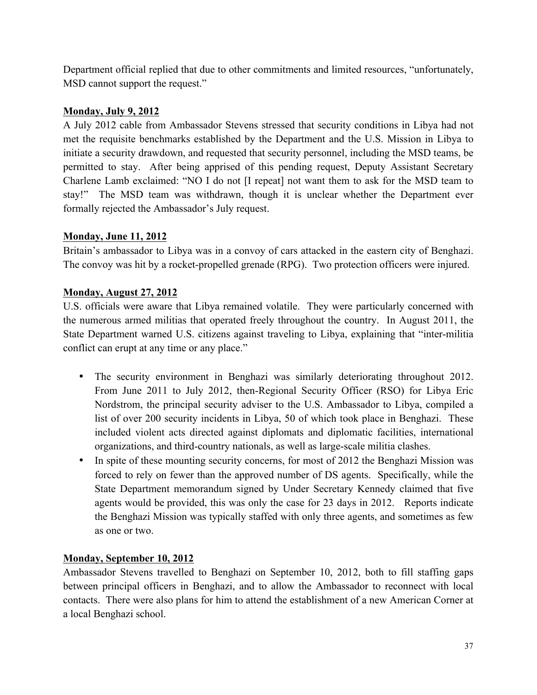Department official replied that due to other commitments and limited resources, "unfortunately, MSD cannot support the request."

# **Monday, July 9, 2012**

A July 2012 cable from Ambassador Stevens stressed that security conditions in Libya had not met the requisite benchmarks established by the Department and the U.S. Mission in Libya to initiate a security drawdown, and requested that security personnel, including the MSD teams, be permitted to stay. After being apprised of this pending request, Deputy Assistant Secretary Charlene Lamb exclaimed: "NO I do not [I repeat] not want them to ask for the MSD team to stay!" The MSD team was withdrawn, though it is unclear whether the Department ever formally rejected the Ambassador's July request.

# **Monday, June 11, 2012**

Britain's ambassador to Libya was in a convoy of cars attacked in the eastern city of Benghazi. The convoy was hit by a rocket-propelled grenade (RPG). Two protection officers were injured.

# **Monday, August 27, 2012**

U.S. officials were aware that Libya remained volatile. They were particularly concerned with the numerous armed militias that operated freely throughout the country. In August 2011, the State Department warned U.S. citizens against traveling to Libya, explaining that "inter-militia conflict can erupt at any time or any place."

- The security environment in Benghazi was similarly deteriorating throughout 2012. From June 2011 to July 2012, then-Regional Security Officer (RSO) for Libya Eric Nordstrom, the principal security adviser to the U.S. Ambassador to Libya, compiled a list of over 200 security incidents in Libya, 50 of which took place in Benghazi. These included violent acts directed against diplomats and diplomatic facilities, international organizations, and third-country nationals, as well as large-scale militia clashes.
- In spite of these mounting security concerns, for most of 2012 the Benghazi Mission was forced to rely on fewer than the approved number of DS agents. Specifically, while the State Department memorandum signed by Under Secretary Kennedy claimed that five agents would be provided, this was only the case for 23 days in 2012. Reports indicate the Benghazi Mission was typically staffed with only three agents, and sometimes as few as one or two.

# **Monday, September 10, 2012**

Ambassador Stevens travelled to Benghazi on September 10, 2012, both to fill staffing gaps between principal officers in Benghazi, and to allow the Ambassador to reconnect with local contacts. There were also plans for him to attend the establishment of a new American Corner at a local Benghazi school.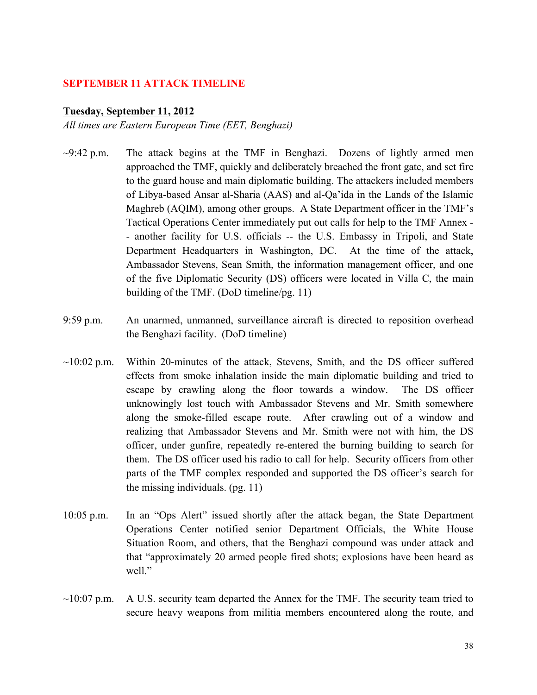#### **SEPTEMBER 11 ATTACK TIMELINE**

#### **Tuesday, September 11, 2012**

*All times are Eastern European Time (EET, Benghazi)* 

- $\sim$ 9:42 p.m. The attack begins at the TMF in Benghazi. Dozens of lightly armed men approached the TMF, quickly and deliberately breached the front gate, and set fire to the guard house and main diplomatic building. The attackers included members of Libya-based Ansar al-Sharia (AAS) and al-Qa'ida in the Lands of the Islamic Maghreb (AQIM), among other groups. A State Department officer in the TMF's Tactical Operations Center immediately put out calls for help to the TMF Annex - - another facility for U.S. officials -- the U.S. Embassy in Tripoli, and State Department Headquarters in Washington, DC. At the time of the attack, Ambassador Stevens, Sean Smith, the information management officer, and one of the five Diplomatic Security (DS) officers were located in Villa C, the main building of the TMF. (DoD timeline/pg. 11)
- 9:59 p.m. An unarmed, unmanned, surveillance aircraft is directed to reposition overhead the Benghazi facility. (DoD timeline)
- $\sim$ 10:02 p.m. Within 20-minutes of the attack, Stevens, Smith, and the DS officer suffered effects from smoke inhalation inside the main diplomatic building and tried to escape by crawling along the floor towards a window. The DS officer unknowingly lost touch with Ambassador Stevens and Mr. Smith somewhere along the smoke-filled escape route. After crawling out of a window and realizing that Ambassador Stevens and Mr. Smith were not with him, the DS officer, under gunfire, repeatedly re-entered the burning building to search for them. The DS officer used his radio to call for help. Security officers from other parts of the TMF complex responded and supported the DS officer's search for the missing individuals. (pg. 11)
- 10:05 p.m. In an "Ops Alert" issued shortly after the attack began, the State Department Operations Center notified senior Department Officials, the White House Situation Room, and others, that the Benghazi compound was under attack and that "approximately 20 armed people fired shots; explosions have been heard as well."
- $\sim$ 10:07 p.m. A U.S. security team departed the Annex for the TMF. The security team tried to secure heavy weapons from militia members encountered along the route, and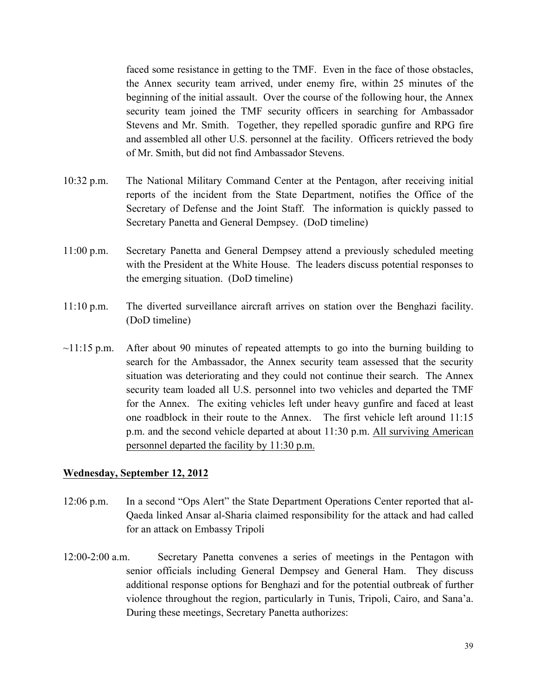faced some resistance in getting to the TMF. Even in the face of those obstacles, the Annex security team arrived, under enemy fire, within 25 minutes of the beginning of the initial assault. Over the course of the following hour, the Annex security team joined the TMF security officers in searching for Ambassador Stevens and Mr. Smith. Together, they repelled sporadic gunfire and RPG fire and assembled all other U.S. personnel at the facility. Officers retrieved the body of Mr. Smith, but did not find Ambassador Stevens.

- 10:32 p.m. The National Military Command Center at the Pentagon, after receiving initial reports of the incident from the State Department, notifies the Office of the Secretary of Defense and the Joint Staff. The information is quickly passed to Secretary Panetta and General Dempsey. (DoD timeline)
- 11:00 p.m. Secretary Panetta and General Dempsey attend a previously scheduled meeting with the President at the White House. The leaders discuss potential responses to the emerging situation. (DoD timeline)
- 11:10 p.m. The diverted surveillance aircraft arrives on station over the Benghazi facility. (DoD timeline)
- $\sim$ 11:15 p.m. After about 90 minutes of repeated attempts to go into the burning building to search for the Ambassador, the Annex security team assessed that the security situation was deteriorating and they could not continue their search. The Annex security team loaded all U.S. personnel into two vehicles and departed the TMF for the Annex. The exiting vehicles left under heavy gunfire and faced at least one roadblock in their route to the Annex. The first vehicle left around 11:15 p.m. and the second vehicle departed at about 11:30 p.m. All surviving American personnel departed the facility by 11:30 p.m.

#### **Wednesday, September 12, 2012**

- 12:06 p.m. In a second "Ops Alert" the State Department Operations Center reported that al-Qaeda linked Ansar al-Sharia claimed responsibility for the attack and had called for an attack on Embassy Tripoli
- 12:00-2:00 a.m. Secretary Panetta convenes a series of meetings in the Pentagon with senior officials including General Dempsey and General Ham. They discuss additional response options for Benghazi and for the potential outbreak of further violence throughout the region, particularly in Tunis, Tripoli, Cairo, and Sana'a. During these meetings, Secretary Panetta authorizes: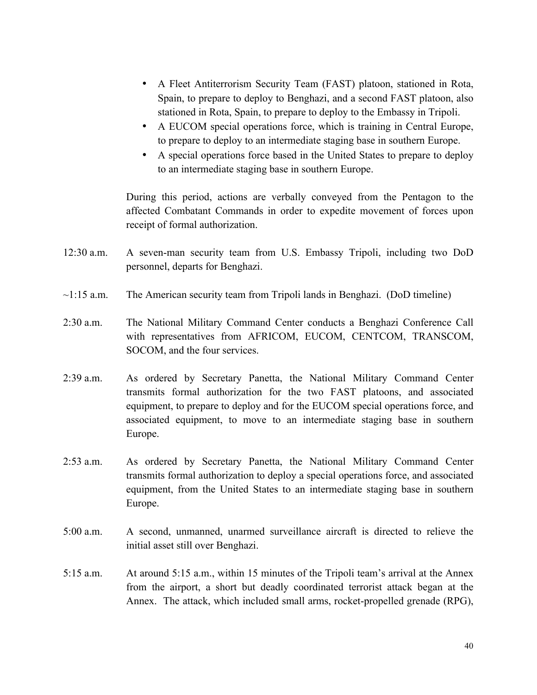- A Fleet Antiterrorism Security Team (FAST) platoon, stationed in Rota, Spain, to prepare to deploy to Benghazi, and a second FAST platoon, also stationed in Rota, Spain, to prepare to deploy to the Embassy in Tripoli.
- A EUCOM special operations force, which is training in Central Europe, to prepare to deploy to an intermediate staging base in southern Europe.
- A special operations force based in the United States to prepare to deploy to an intermediate staging base in southern Europe.

During this period, actions are verbally conveyed from the Pentagon to the affected Combatant Commands in order to expedite movement of forces upon receipt of formal authorization.

- 12:30 a.m. A seven-man security team from U.S. Embassy Tripoli, including two DoD personnel, departs for Benghazi.
- $\sim$ 1:15 a.m. The American security team from Tripoli lands in Benghazi. (DoD timeline)
- 2:30 a.m. The National Military Command Center conducts a Benghazi Conference Call with representatives from AFRICOM, EUCOM, CENTCOM, TRANSCOM, SOCOM, and the four services.
- 2:39 a.m. As ordered by Secretary Panetta, the National Military Command Center transmits formal authorization for the two FAST platoons, and associated equipment, to prepare to deploy and for the EUCOM special operations force, and associated equipment, to move to an intermediate staging base in southern Europe.
- 2:53 a.m. As ordered by Secretary Panetta, the National Military Command Center transmits formal authorization to deploy a special operations force, and associated equipment, from the United States to an intermediate staging base in southern Europe.
- 5:00 a.m. A second, unmanned, unarmed surveillance aircraft is directed to relieve the initial asset still over Benghazi.
- 5:15 a.m. At around 5:15 a.m., within 15 minutes of the Tripoli team's arrival at the Annex from the airport, a short but deadly coordinated terrorist attack began at the Annex. The attack, which included small arms, rocket-propelled grenade (RPG),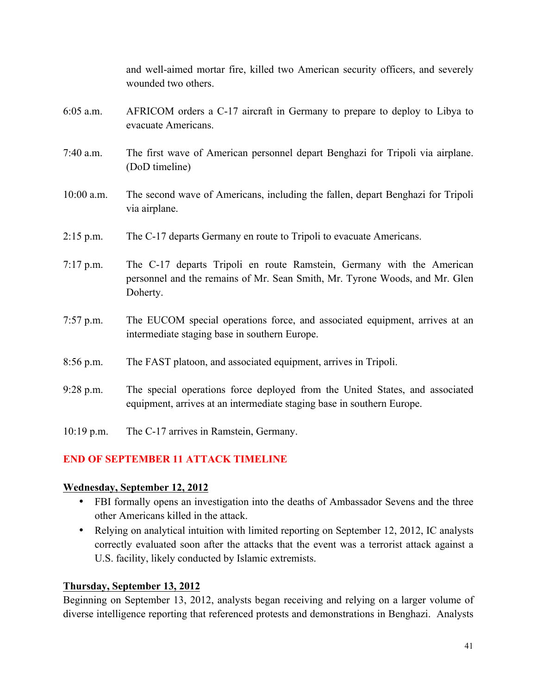|              | and well-aimed mortar fire, killed two American security officers, and severely<br>wounded two others.                                                           |
|--------------|------------------------------------------------------------------------------------------------------------------------------------------------------------------|
| $6:05$ a.m.  | AFRICOM orders a C-17 aircraft in Germany to prepare to deploy to Libya to<br>evacuate Americans.                                                                |
| $7:40$ a.m.  | The first wave of American personnel depart Benghazi for Tripoli via airplane.<br>(DoD timeline)                                                                 |
| 10:00 a.m.   | The second wave of Americans, including the fallen, depart Benghazi for Tripoli<br>via airplane.                                                                 |
| $2:15$ p.m.  | The C-17 departs Germany en route to Tripoli to evacuate Americans.                                                                                              |
| $7:17$ p.m.  | The C-17 departs Tripoli en route Ramstein, Germany with the American<br>personnel and the remains of Mr. Sean Smith, Mr. Tyrone Woods, and Mr. Glen<br>Doherty. |
| $7:57$ p.m.  | The EUCOM special operations force, and associated equipment, arrives at an<br>intermediate staging base in southern Europe.                                     |
| $8:56$ p.m.  | The FAST platoon, and associated equipment, arrives in Tripoli.                                                                                                  |
| $9:28$ p.m.  | The special operations force deployed from the United States, and associated<br>equipment, arrives at an intermediate staging base in southern Europe.           |
| $10:19$ p.m. | The C-17 arrives in Ramstein, Germany.                                                                                                                           |

# **END OF SEPTEMBER 11 ATTACK TIMELINE**

# **Wednesday, September 12, 2012**

- FBI formally opens an investigation into the deaths of Ambassador Sevens and the three other Americans killed in the attack.
- Relying on analytical intuition with limited reporting on September 12, 2012, IC analysts correctly evaluated soon after the attacks that the event was a terrorist attack against a U.S. facility, likely conducted by Islamic extremists.

# **Thursday, September 13, 2012**

Beginning on September 13, 2012, analysts began receiving and relying on a larger volume of diverse intelligence reporting that referenced protests and demonstrations in Benghazi. Analysts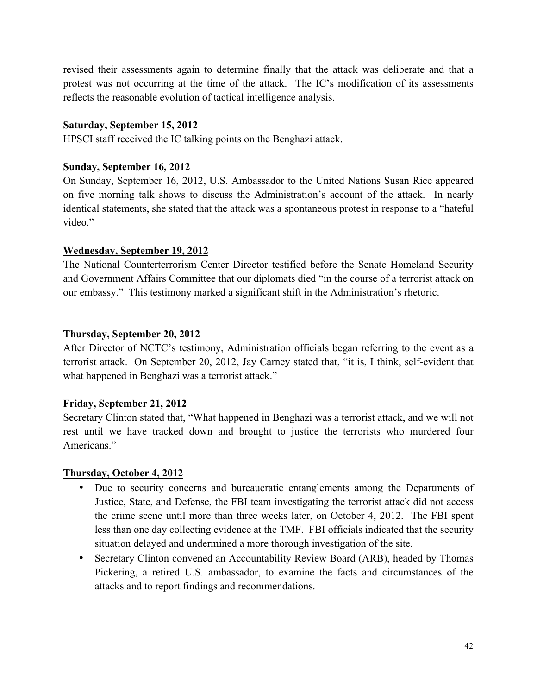revised their assessments again to determine finally that the attack was deliberate and that a protest was not occurring at the time of the attack. The IC's modification of its assessments reflects the reasonable evolution of tactical intelligence analysis.

# **Saturday, September 15, 2012**

HPSCI staff received the IC talking points on the Benghazi attack.

# **Sunday, September 16, 2012**

On Sunday, September 16, 2012, U.S. Ambassador to the United Nations Susan Rice appeared on five morning talk shows to discuss the Administration's account of the attack. In nearly identical statements, she stated that the attack was a spontaneous protest in response to a "hateful video."

# **Wednesday, September 19, 2012**

The National Counterterrorism Center Director testified before the Senate Homeland Security and Government Affairs Committee that our diplomats died "in the course of a terrorist attack on our embassy." This testimony marked a significant shift in the Administration's rhetoric.

# **Thursday, September 20, 2012**

After Director of NCTC's testimony, Administration officials began referring to the event as a terrorist attack. On September 20, 2012, Jay Carney stated that, "it is, I think, self-evident that what happened in Benghazi was a terrorist attack."

# **Friday, September 21, 2012**

Secretary Clinton stated that, "What happened in Benghazi was a terrorist attack, and we will not rest until we have tracked down and brought to justice the terrorists who murdered four Americans<sup>"</sup>

# **Thursday, October 4, 2012**

- Due to security concerns and bureaucratic entanglements among the Departments of Justice, State, and Defense, the FBI team investigating the terrorist attack did not access the crime scene until more than three weeks later, on October 4, 2012. The FBI spent less than one day collecting evidence at the TMF. FBI officials indicated that the security situation delayed and undermined a more thorough investigation of the site.
- Secretary Clinton convened an Accountability Review Board (ARB), headed by Thomas Pickering, a retired U.S. ambassador, to examine the facts and circumstances of the attacks and to report findings and recommendations.